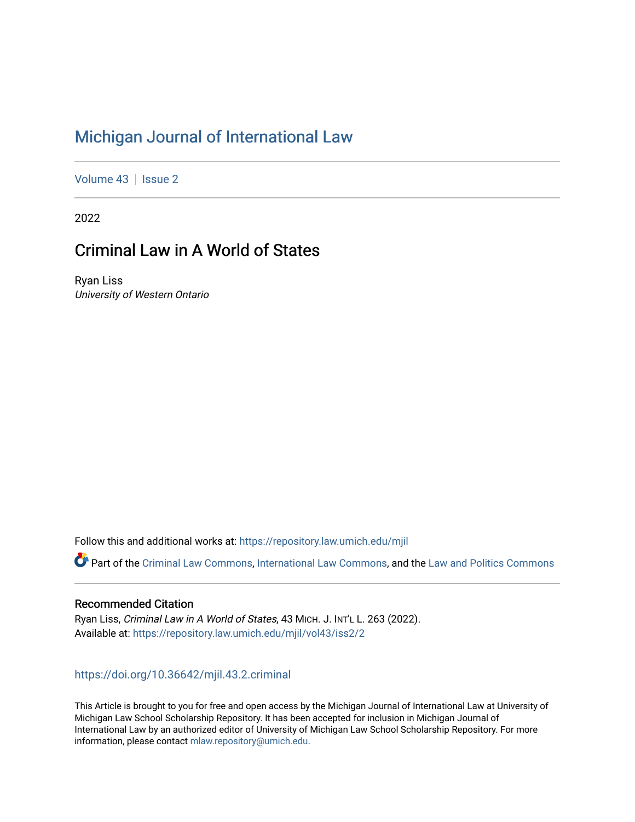# [Michigan Journal of International Law](https://repository.law.umich.edu/mjil)

[Volume 43](https://repository.law.umich.edu/mjil/vol43) | [Issue 2](https://repository.law.umich.edu/mjil/vol43/iss2)

2022

# Criminal Law in A World of States

Ryan Liss University of Western Ontario

Follow this and additional works at: [https://repository.law.umich.edu/mjil](https://repository.law.umich.edu/mjil?utm_source=repository.law.umich.edu%2Fmjil%2Fvol43%2Fiss2%2F2&utm_medium=PDF&utm_campaign=PDFCoverPages) 

Part of the [Criminal Law Commons,](http://network.bepress.com/hgg/discipline/912?utm_source=repository.law.umich.edu%2Fmjil%2Fvol43%2Fiss2%2F2&utm_medium=PDF&utm_campaign=PDFCoverPages) [International Law Commons](http://network.bepress.com/hgg/discipline/609?utm_source=repository.law.umich.edu%2Fmjil%2Fvol43%2Fiss2%2F2&utm_medium=PDF&utm_campaign=PDFCoverPages), and the Law and Politics Commons

# Recommended Citation

Ryan Liss, Criminal Law in A World of States, 43 MICH. J. INT'L L. 263 (2022). Available at: [https://repository.law.umich.edu/mjil/vol43/iss2/2](https://repository.law.umich.edu/mjil/vol43/iss2/2?utm_source=repository.law.umich.edu%2Fmjil%2Fvol43%2Fiss2%2F2&utm_medium=PDF&utm_campaign=PDFCoverPages) 

# <https://doi.org/10.36642/mjil.43.2.criminal>

This Article is brought to you for free and open access by the Michigan Journal of International Law at University of Michigan Law School Scholarship Repository. It has been accepted for inclusion in Michigan Journal of International Law by an authorized editor of University of Michigan Law School Scholarship Repository. For more information, please contact [mlaw.repository@umich.edu](mailto:mlaw.repository@umich.edu).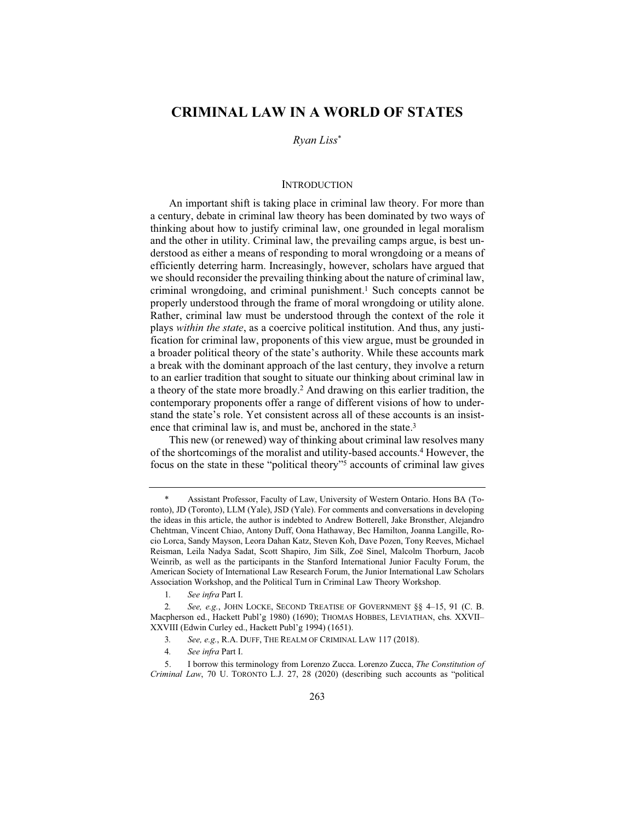# **CRIMINAL LAW IN A WORLD OF STATES**

#### *Ryan Liss*\*

#### INTRODUCTION

An important shift is taking place in criminal law theory. For more than a century, debate in criminal law theory has been dominated by two ways of thinking about how to justify criminal law, one grounded in legal moralism and the other in utility. Criminal law, the prevailing camps argue, is best understood as either a means of responding to moral wrongdoing or a means of efficiently deterring harm. Increasingly, however, scholars have argued that we should reconsider the prevailing thinking about the nature of criminal law, criminal wrongdoing, and criminal punishment.<sup>1</sup> Such concepts cannot be properly understood through the frame of moral wrongdoing or utility alone. Rather, criminal law must be understood through the context of the role it plays *within the state*, as a coercive political institution. And thus, any justification for criminal law, proponents of this view argue, must be grounded in a broader political theory of the state's authority. While these accounts mark a break with the dominant approach of the last century, they involve a return to an earlier tradition that sought to situate our thinking about criminal law in a theory of the state more broadly.<sup>2</sup> And drawing on this earlier tradition, the contemporary proponents offer a range of different visions of how to understand the state's role. Yet consistent across all of these accounts is an insistence that criminal law is, and must be, anchored in the state. $3$ 

This new (or renewed) way of thinking about criminal law resolves many of the shortcomings of the moralist and utility-based accounts.<sup>4</sup> However, the focus on the state in these "political theory"<sup>5</sup> accounts of criminal law gives

Assistant Professor, Faculty of Law, University of Western Ontario. Hons BA (Toronto), JD (Toronto), LLM (Yale), JSD (Yale). For comments and conversations in developing the ideas in this article, the author is indebted to Andrew Botterell, Jake Bronsther, Alejandro Chehtman, Vincent Chiao, Antony Duff, Oona Hathaway, Bec Hamilton, Joanna Langille, Rocio Lorca, Sandy Mayson, Leora Dahan Katz, Steven Koh, Dave Pozen, Tony Reeves, Michael Reisman, Leila Nadya Sadat, Scott Shapiro, Jim Silk, Zoë Sinel, Malcolm Thorburn, Jacob Weinrib, as well as the participants in the Stanford International Junior Faculty Forum, the American Society of International Law Research Forum, the Junior International Law Scholars Association Workshop, and the Political Turn in Criminal Law Theory Workshop.

*<sup>1.</sup>* See infra Part I.

<sup>2.</sup> See, e.g., JOHN LOCKE, SECOND TREATISE OF GOVERNMENT §§ 4-15, 91 (C. B. Macpherson ed., Hackett Publ'g 1980) (1690); THOMAS HOBBES, LEVIATHAN, chs. XXVII-XXVIII (Edwin Curley ed., Hackett Publ'g 1994) (1651).

<sup>3.</sup> See, e.g., R.A. DUFF, THE REALM OF CRIMINAL LAW 117 (2018).

<sup>4.</sup> See *infra* Part I.

<sup>5.</sup> I borrow this terminology from Lorenzo Zucca. Lorenzo Zucca, The Constitution of *Criminal Law*, 70 U. TORONTO L.J. 27, 28 (2020) (describing such accounts as "political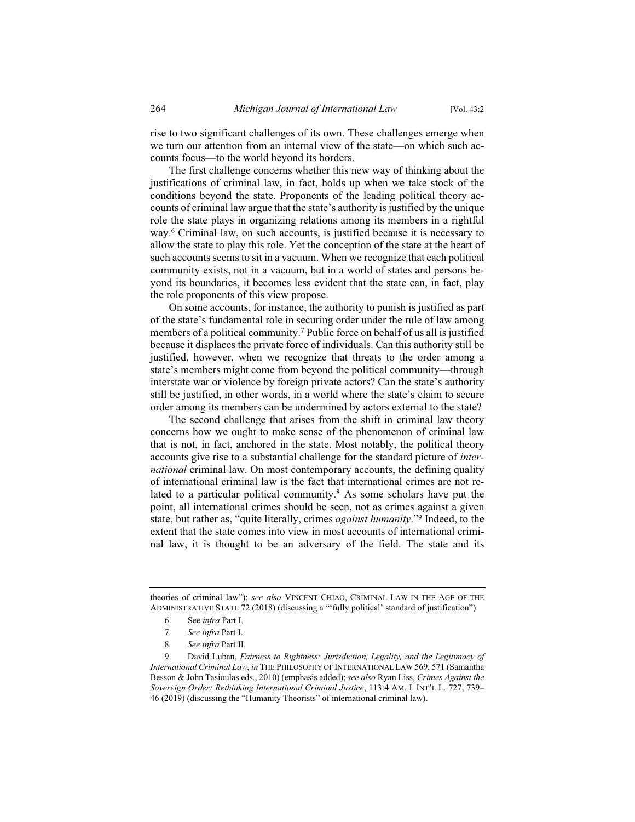rise to two significant challenges of its own. These challenges emerge when we turn our attention from an internal view of the state—on which such accounts focus—to the world beyond its borders.

The first challenge concerns whether this new way of thinking about the justifications of criminal law, in fact, holds up when we take stock of the conditions beyond the state. Proponents of the leading political theory accounts of criminal law argue that the state's authority is justified by the unique role the state plays in organizing relations among its members in a rightful way.<sup>6</sup> Criminal law, on such accounts, is justified because it is necessary to allow the state to play this role. Yet the conception of the state at the heart of such accounts seems to sit in a vacuum. When we recognize that each political community exists, not in a vacuum, but in a world of states and persons beyond its boundaries, it becomes less evident that the state can, in fact, play the role proponents of this view propose.

On some accounts, for instance, the authority to punish is justified as part of the state's fundamental role in securing order under the rule of law among members of a political community.<sup>7</sup> Public force on behalf of us all is justified because it displaces the private force of individuals. Can this authority still be justified, however, when we recognize that threats to the order among a state's members might come from beyond the political community-through interstate war or violence by foreign private actors? Can the state's authority still be justified, in other words, in a world where the state's claim to secure order among its members can be undermined by actors external to the state?

The second challenge that arises from the shift in criminal law theory concerns how we ought to make sense of the phenomenon of criminal law that is not, in fact, anchored in the state. Most notably, the political theory accounts give rise to a substantial challenge for the standard picture of *international* criminal law. On most contemporary accounts, the defining quality of international criminal law is the fact that international crimes are not related to a particular political community.<sup>8</sup> As some scholars have put the point, all international crimes should be seen, not as crimes against a given state, but rather as, "quite literally, crimes *against humanity*."<sup>9</sup> Indeed, to the extent that the state comes into view in most accounts of international criminal law, it is thought to be an adversary of the field. The state and its

theories of criminal law"); see also VINCENT CHIAO, CRIMINAL LAW IN THE AGE OF THE ADMINISTRATIVE STATE 72 (2018) (discussing a "fully political' standard of justification").

<sup>6.</sup> See infra Part I.

<sup>7.</sup> See infra Part I.

<sup>8.</sup> See infra Part II.

 $\Omega$ David Luban, Fairness to Rightness: Jurisdiction, Legality, and the Legitimacy of International Criminal Law, in THE PHILOSOPHY OF INTERNATIONAL LAW 569, 571 (Samantha Besson & John Tasioulas eds., 2010) (emphasis added); see also Ryan Liss, Crimes Against the Sovereign Order: Rethinking International Criminal Justice, 113:4 AM. J. INT'L L. 727, 739– 46 (2019) (discussing the "Humanity Theorists" of international criminal law).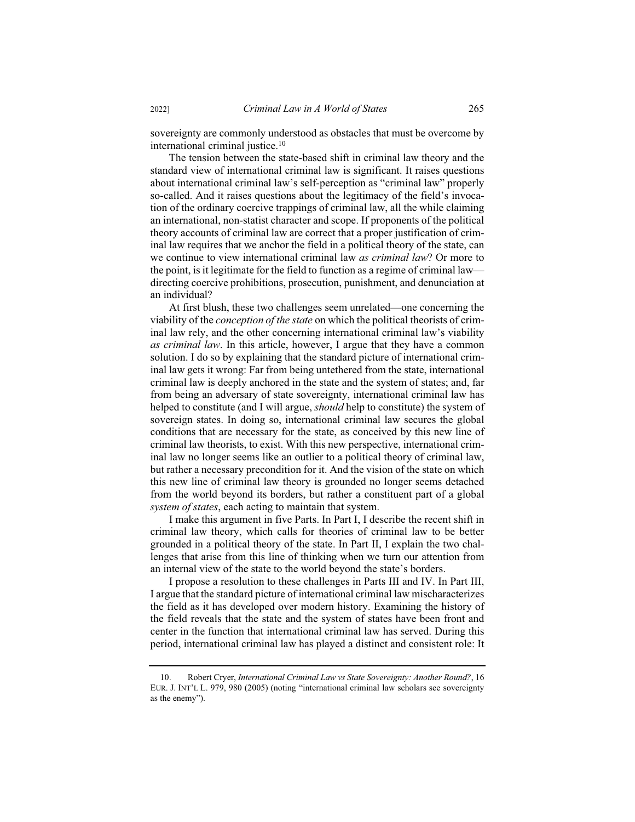sovereignty are commonly understood as obstacles that must be overcome by international criminal justice. $10$ 

The tension between the state-based shift in criminal law theory and the standard view of international criminal law is significant. It raises questions about international criminal law's self-perception as "criminal law" properly so-called. And it raises questions about the legitimacy of the field's invocation of the ordinary coercive trappings of criminal law, all the while claiming an international, non-statist character and scope. If proponents of the political theory accounts of criminal law are correct that a proper justification of criminal law requires that we anchor the field in a political theory of the state, can we continue to view international criminal law as criminal law? Or more to the point, is it legitimate for the field to function as a regime of criminal law directing coercive prohibitions, prosecution, punishment, and denunciation at an individual?

At first blush, these two challenges seem unrelated—one concerning the viability of the *conception of the state* on which the political theorists of criminal law rely, and the other concerning international criminal law's viability *as criminal law*. In this article, however, I argue that they have a common solution. I do so by explaining that the standard picture of international criminal law gets it wrong: Far from being untethered from the state, international criminal law is deeply anchored in the state and the system of states; and, far from being an adversary of state sovereignty, international criminal law has helped to constitute (and I will argue, *should* help to constitute) the system of sovereign states. In doing so, international criminal law secures the global conditions that are necessary for the state, as conceived by this new line of criminal law theorists, to exist. With this new perspective, international criminal law no longer seems like an outlier to a political theory of criminal law, but rather a necessary precondition for it. And the vision of the state on which this new line of criminal law theory is grounded no longer seems detached from the world beyond its borders, but rather a constituent part of a global *system of states*, each acting to maintain that system.

I make this argument in five Parts. In Part I, I describe the recent shift in criminal law theory, which calls for theories of criminal law to be better grounded in a political theory of the state. In Part II, I explain the two challenges that arise from this line of thinking when we turn our attention from an internal view of the state to the world beyond the state's borders.

I propose a resolution to these challenges in Parts III and IV. In Part III, I argue that the standard picture of international criminal law mischaracterizes the field as it has developed over modern history. Examining the history of the field reveals that the state and the system of states have been front and center in the function that international criminal law has served. During this period, international criminal law has played a distinct and consistent role: It

<sup>10.</sup> Robert Cryer, *International Criminal Law vs State Sovereignty: Another Round?*, 16 EUR. J. INT'L L. 979, 980 (2005) (noting "international criminal law scholars see sovereignty as the enemy").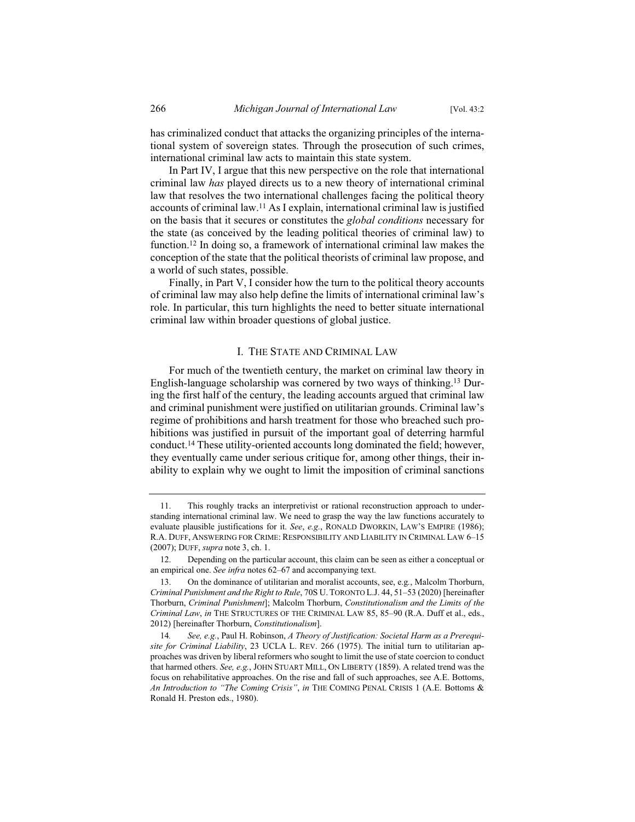has criminalized conduct that attacks the organizing principles of the international system of sovereign states. Through the prosecution of such crimes, international criminal law acts to maintain this state system.

In Part IV, I argue that this new perspective on the role that international criminal law has played directs us to a new theory of international criminal law that resolves the two international challenges facing the political theory accounts of criminal law.<sup>11</sup> As I explain, international criminal law is justified on the basis that it secures or constitutes the global conditions necessary for the state (as conceived by the leading political theories of criminal law) to function.<sup>12</sup> In doing so, a framework of international criminal law makes the conception of the state that the political theorists of criminal law propose, and a world of such states, possible.

Finally, in Part V, I consider how the turn to the political theory accounts of criminal law may also help define the limits of international criminal law's role. In particular, this turn highlights the need to better situate international criminal law within broader questions of global justice.

### **I. THE STATE AND CRIMINAL LAW**

For much of the twentieth century, the market on criminal law theory in English-language scholarship was cornered by two ways of thinking.<sup>13</sup> During the first half of the century, the leading accounts argued that criminal law and criminal punishment were justified on utilitarian grounds. Criminal law's regime of prohibitions and harsh treatment for those who breached such prohibitions was justified in pursuit of the important goal of deterring harmful conduct.<sup>14</sup> These utility-oriented accounts long dominated the field; however, they eventually came under serious critique for, among other things, their inability to explain why we ought to limit the imposition of criminal sanctions

266

<sup>11.</sup> This roughly tracks an interpretivist or rational reconstruction approach to understanding international criminal law. We need to grasp the way the law functions accurately to evaluate plausible justifications for it. See, e.g., RONALD DWORKIN, LAW'S EMPIRE (1986); R.A. DUFF, ANSWERING FOR CRIME: RESPONSIBILITY AND LIABILITY IN CRIMINAL LAW 6-15 (2007); DUFF, *supra* note 3, ch. 1.

 $12.$ Depending on the particular account, this claim can be seen as either a conceptual or an empirical one. See infra notes 62–67 and accompanying text.

<sup>13.</sup> On the dominance of utilitarian and moralist accounts, see, e.g., Malcolm Thorburn, Criminal Punishment and the Right to Rule, 70S U. TORONTO L.J. 44, 51-53 (2020) [hereinafter Thorburn, Criminal Punishment]; Malcolm Thorburn, Constitutionalism and the Limits of the Criminal Law, in THE STRUCTURES OF THE CRIMINAL LAW 85, 85-90 (R.A. Duff et al., eds., 2012) [hereinafter Thorburn, Constitutionalism].

<sup>14.</sup> See, e.g., Paul H. Robinson, A Theory of Justification: Societal Harm as a Prerequisite for Criminal Liability, 23 UCLA L. REV. 266 (1975). The initial turn to utilitarian approaches was driven by liberal reformers who sought to limit the use of state coercion to conduct that harmed others. See, e.g., JOHN STUART MILL, ON LIBERTY (1859). A related trend was the focus on rehabilitative approaches. On the rise and fall of such approaches, see A.E. Bottoms, An Introduction to "The Coming Crisis", in THE COMING PENAL CRISIS 1 (A.E. Bottoms & Ronald H. Preston eds., 1980).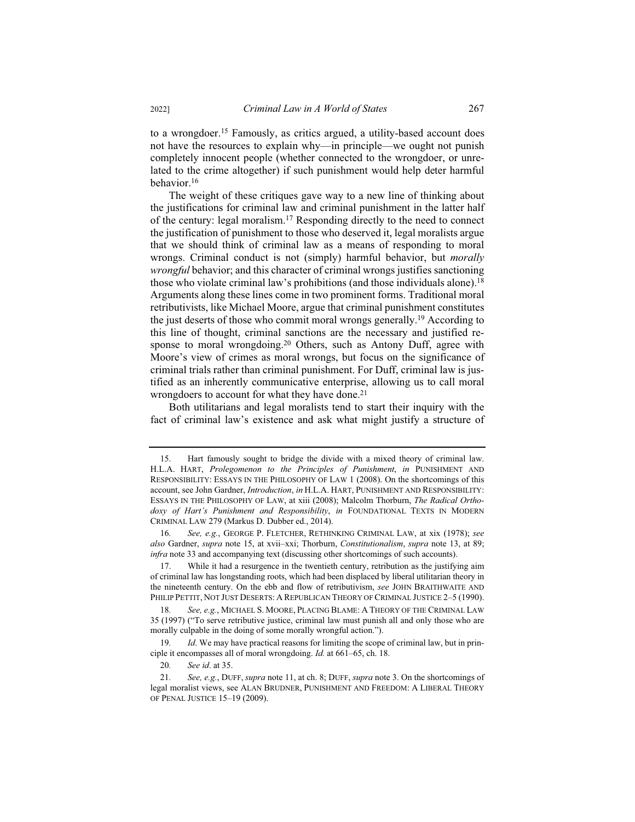to a wrongdoer.<sup>15</sup> Famously, as critics argued, a utility-based account does not have the resources to explain why—in principle—we ought not punish completely innocent people (whether connected to the wrongdoer, or unrelated to the crime altogether) if such punishment would help deter harmful behavior.<sup>16</sup>

The weight of these critiques gave way to a new line of thinking about the justifications for criminal law and criminal punishment in the latter half of the century: legal moralism.<sup>17</sup> Responding directly to the need to connect the justification of punishment to those who deserved it, legal moralists argue that we should think of criminal law as a means of responding to moral wrongs. Criminal conduct is not (simply) harmful behavior, but *morally wrongful* behavior; and this character of criminal wrongs justifies sanctioning those who violate criminal law's prohibitions (and those individuals alone).<sup>18</sup> Arguments along these lines come in two prominent forms. Traditional moral retributivists, like Michael Moore, argue that criminal punishment constitutes the just deserts of those who commit moral wrongs generally.<sup>19</sup> According to this line of thought, criminal sanctions are the necessary and justified response to moral wrongdoing.<sup>20</sup> Others, such as Antony Duff, agree with Moore's view of crimes as moral wrongs, but focus on the significance of criminal trials rather than criminal punishment. For Duff, criminal law is justified as an inherently communicative enterprise, allowing us to call moral wrongdoers to account for what they have done.<sup>21</sup>

Both utilitarians and legal moralists tend to start their inquiry with the fact of criminal law's existence and ask what might justify a structure of

<sup>15.</sup> Hart famously sought to bridge the divide with a mixed theory of criminal law. H.L.A. HART, Prolegomenon to the Principles of Punishment, in PUNISHMENT AND RESPONSIBILITY: ESSAYS IN THE PHILOSOPHY OF LAW 1 (2008). On the shortcomings of this account, see John Gardner, Introduction, in H.L.A. HART, PUNISHMENT AND RESPONSIBILITY: ESSAYS IN THE PHILOSOPHY OF LAW, at xiii (2008); Malcolm Thorburn, The Radical Orthodoxy of Hart's Punishment and Responsibility, in FOUNDATIONAL TEXTS IN MODERN CRIMINAL LAW 279 (Markus D. Dubber ed., 2014).

See, e.g., GEORGE P. FLETCHER, RETHINKING CRIMINAL LAW, at xix (1978); see 16. also Gardner, supra note 15, at xvii-xxi; Thorburn, Constitutionalism, supra note 13, at 89; infra note 33 and accompanying text (discussing other shortcomings of such accounts).

<sup>17.</sup> While it had a resurgence in the twentieth century, retribution as the justifying aim of criminal law has longstanding roots, which had been displaced by liberal utilitarian theory in the nineteenth century. On the ebb and flow of retributivism, see JOHN BRAITHWAITE AND PHILIP PETTIT, NOT JUST DESERTS: A REPUBLICAN THEORY OF CRIMINAL JUSTICE 2-5 (1990).

See, e.g., MICHAEL S. MOORE, PLACING BLAME: A THEORY OF THE CRIMINAL LAW 18 35 (1997) ("To serve retributive justice, criminal law must punish all and only those who are morally culpable in the doing of some morally wrongful action.").

Id. We may have practical reasons for limiting the scope of criminal law, but in prin-19 ciple it encompasses all of moral wrongdoing. Id. at 661-65, ch. 18.

<sup>20.</sup> See id. at 35.

 $21$ See, e.g., DUFF, supra note 11, at ch. 8; DUFF, supra note 3. On the shortcomings of legal moralist views, see ALAN BRUDNER, PUNISHMENT AND FREEDOM: A LIBERAL THEORY OF PENAL JUSTICE 15-19 (2009).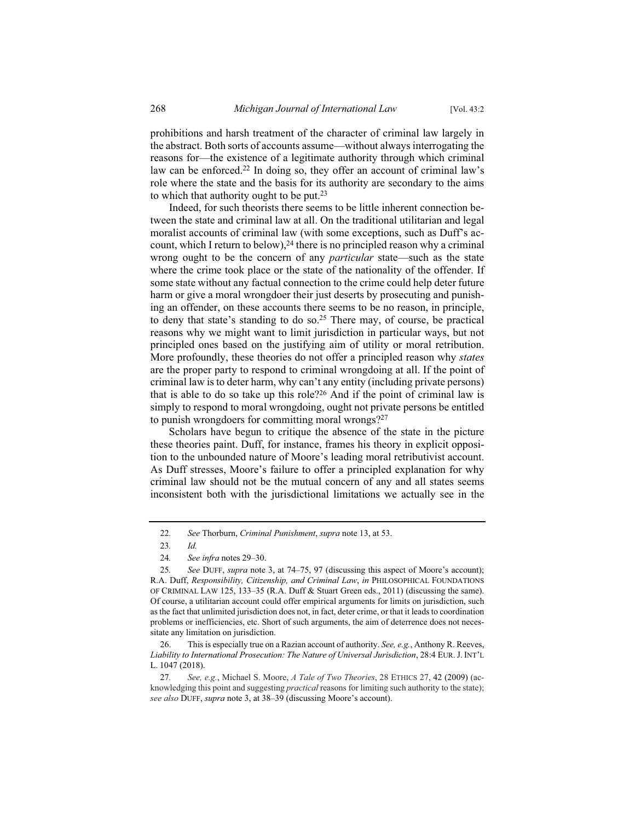prohibitions and harsh treatment of the character of criminal law largely in the abstract. Both sorts of accounts assume—without always interrogating the reasons for—the existence of a legitimate authority through which criminal law can be enforced.<sup>22</sup> In doing so, they offer an account of criminal law's role where the state and the basis for its authority are secondary to the aims to which that authority ought to be put.<sup>23</sup>

Indeed, for such theorists there seems to be little inherent connection between the state and criminal law at all. On the traditional utilitarian and legal moralist accounts of criminal law (with some exceptions, such as Duff's account, which I return to below),<sup>24</sup> there is no principled reason why a criminal wrong ought to be the concern of any *particular* state—such as the state where the crime took place or the state of the nationality of the offender. If some state without any factual connection to the crime could help deter future harm or give a moral wrongdoer their just deserts by prosecuting and punishing an offender, on these accounts there seems to be no reason, in principle, to deny that state's standing to do so.<sup>25</sup> There may, of course, be practical reasons why we might want to limit jurisdiction in particular ways, but not principled ones based on the justifying aim of utility or moral retribution. More profoundly, these theories do not offer a principled reason why states are the proper party to respond to criminal wrongdoing at all. If the point of criminal law is to deter harm, why can't any entity (including private persons) that is able to do so take up this role?<sup>26</sup> And if the point of criminal law is simply to respond to moral wrongdoing, ought not private persons be entitled to punish wrongdoers for committing moral wrongs?<sup>27</sup>

Scholars have begun to critique the absence of the state in the picture these theories paint. Duff, for instance, frames his theory in explicit opposition to the unbounded nature of Moore's leading moral retributivist account. As Duff stresses, Moore's failure to offer a principled explanation for why criminal law should not be the mutual concern of any and all states seems inconsistent both with the jurisdictional limitations we actually see in the

<sup>22.</sup> See Thorburn, Criminal Punishment, supra note 13, at 53.

<sup>23.</sup>  $Id$ 

<sup>24.</sup> See infra notes 29-30.

See DUFF, supra note 3, at 74–75, 97 (discussing this aspect of Moore's account);  $25$ R.A. Duff, Responsibility, Citizenship, and Criminal Law, in PHILOSOPHICAL FOUNDATIONS OF CRIMINAL LAW 125, 133–35 (R.A. Duff  $\&$  Stuart Green eds., 2011) (discussing the same). Of course, a utilitarian account could offer empirical arguments for limits on jurisdiction, such as the fact that unlimited jurisdiction does not, in fact, deter crime, or that it leads to coordination problems or inefficiencies, etc. Short of such arguments, the aim of deterrence does not necessitate any limitation on jurisdiction.

<sup>26</sup> This is especially true on a Razian account of authority. See, e.g., Anthony R. Reeves, Liability to International Prosecution: The Nature of Universal Jurisdiction, 28:4 EUR. J. INT'L L. 1047 (2018).

See, e.g., Michael S. Moore, A Tale of Two Theories, 28 ETHICS 27, 42 (2009) (ac- $27$ knowledging this point and suggesting *practical* reasons for limiting such authority to the state); see also DUFF, supra note 3, at 38–39 (discussing Moore's account).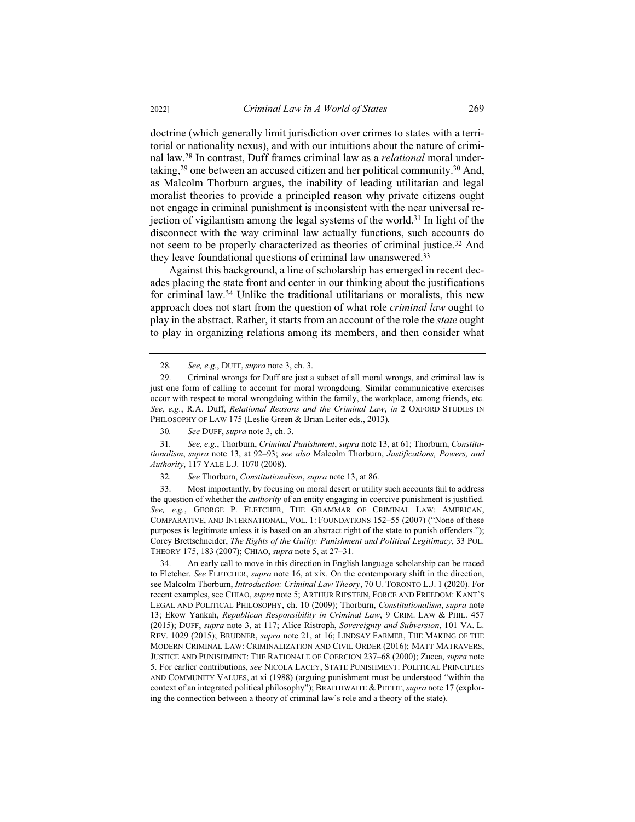doctrine (which generally limit jurisdiction over crimes to states with a territorial or nationality nexus), and with our intuitions about the nature of criminal law.<sup>28</sup> In contrast, Duff frames criminal law as a *relational* moral undertaking,<sup>29</sup> one between an accused citizen and her political community.<sup>30</sup> And, as Malcolm Thorburn argues, the inability of leading utilitarian and legal moralist theories to provide a principled reason why private citizens ought not engage in criminal punishment is inconsistent with the near universal rejection of vigilantism among the legal systems of the world.<sup>31</sup> In light of the disconnect with the way criminal law actually functions, such accounts do not seem to be properly characterized as theories of criminal justice.<sup>32</sup> And they leave foundational questions of criminal law unanswered.<sup>33</sup>

Against this background, a line of scholarship has emerged in recent decades placing the state front and center in our thinking about the justifications for criminal law.<sup>34</sup> Unlike the traditional utilitarians or moralists, this new approach does not start from the question of what role criminal law ought to play in the abstract. Rather, it starts from an account of the role the *state* ought to play in organizing relations among its members, and then consider what

33. Most importantly, by focusing on moral desert or utility such accounts fail to address the question of whether the *authority* of an entity engaging in coercive punishment is justified. See, e.g., GEORGE P. FLETCHER, THE GRAMMAR OF CRIMINAL LAW: AMERICAN, COMPARATIVE, AND INTERNATIONAL, VOL. 1: FOUNDATIONS 152-55 (2007) ("None of these purposes is legitimate unless it is based on an abstract right of the state to punish offenders."); Corey Brettschneider, The Rights of the Guilty: Punishment and Political Legitimacy, 33 POL. THEORY 175, 183 (2007); CHIAO, *supra* note 5, at 27-31.

<sup>28.</sup> *See, e.g.*, DUFF, *supra* note 3, ch. 3.

<sup>29.</sup> Criminal wrongs for Duff are just a subset of all moral wrongs, and criminal law is just one form of calling to account for moral wrongdoing. Similar communicative exercises occur with respect to moral wrongdoing within the family, the workplace, among friends, etc. *See, e.g., R.A. Duff, Relational Reasons and the Criminal Law, in* 2 OXFORD STUDIES IN PHILOSOPHY OF LAW 175 (Leslie Green & Brian Leiter eds., 2013).

<sup>30.</sup> See DUFF, *supra* note 3, ch. 3.

<sup>31.</sup> See, e.g., Thorburn, Criminal Punishment, supra note 13, at 61; Thorburn, Constitu*tionalism, supra note 13, at 92–93; see also Malcolm Thorburn, Justifications, Powers, and* Authority, 117 YALE L.J. 1070 (2008).

<sup>32.</sup> See Thorburn, *Constitutionalism*, *supra* note 13, at 86.

<sup>34.</sup> An early call to move in this direction in English language scholarship can be traced to Fletcher. See FLETCHER, *supra* note 16, at xix. On the contemporary shift in the direction, see Malcolm Thorburn, *Introduction: Criminal Law Theory*, 70 U. TORONTO L.J. 1 (2020). For recent examples, see CHIAO, *supra* note 5; ARTHUR RIPSTEIN, FORCE AND FREEDOM: KANT'S LEGAL AND POLITICAL PHILOSOPHY, ch. 10 (2009); Thorburn, Constitutionalism, supra note 13; Ekow Yankah, Republican Responsibility in Criminal Law, 9 CRIM. LAW & PHIL. 457 (2015); DUFF, supra note 3, at 117; Alice Ristroph, Sovereignty and Subversion, 101 VA. L. REV. 1029 (2015): BRUDNER, *supra* note 21, at 16: LINDSAY FARMER, THE MAKING OF THE MODERN CRIMINAL LAW: CRIMINALIZATION AND CIVIL ORDER (2016); MATT MATRAVERS, JUSTICE AND PUNISHMENT: THE RATIONALE OF COERCION 237-68 (2000); Zucca, *supra* note 5. For earlier contributions, see NICOLA LACEY, STATE PUNISHMENT: POLITICAL PRINCIPLES AND COMMUNITY VALUES, at xi (1988) (arguing punishment must be understood "within the context of an integrated political philosophy"); BRAITHWAITE & PETTIT, *supra* note 17 (exploring the connection between a theory of criminal law's role and a theory of the state).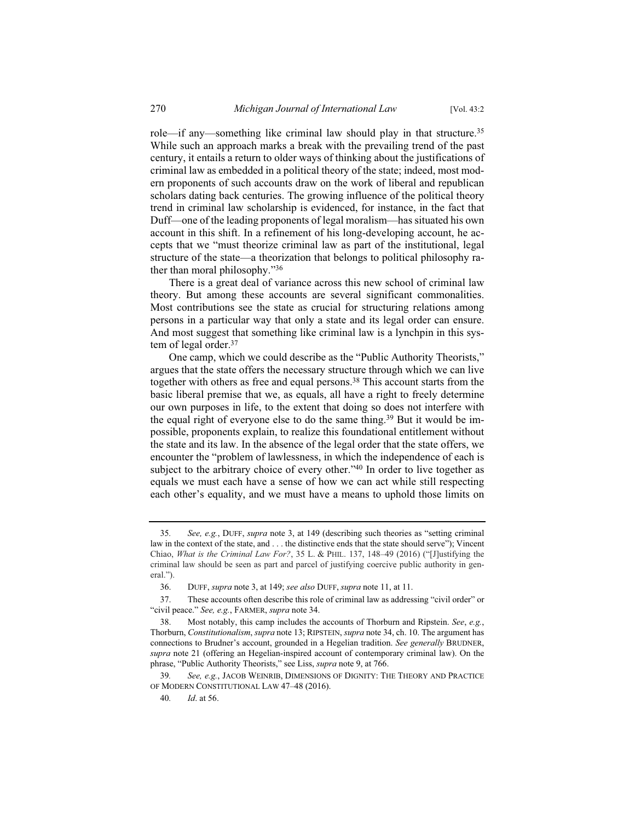role—if any—something like criminal law should play in that structure.<sup>35</sup> While such an approach marks a break with the prevailing trend of the past century, it entails a return to older ways of thinking about the justifications of criminal law as embedded in a political theory of the state; indeed, most modern proponents of such accounts draw on the work of liberal and republican scholars dating back centuries. The growing influence of the political theory trend in criminal law scholarship is evidenced, for instance, in the fact that Duff—one of the leading proponents of legal moralism—has situated his own account in this shift. In a refinement of his long-developing account, he accepts that we "must theorize criminal law as part of the institutional, legal structure of the state—a theorization that belongs to political philosophy rather than moral philosophy."36

There is a great deal of variance across this new school of criminal law theory. But among these accounts are several significant commonalities. Most contributions see the state as crucial for structuring relations among persons in a particular way that only a state and its legal order can ensure. And most suggest that something like criminal law is a lynchpin in this system of legal order. $37$ 

One camp, which we could describe as the "Public Authority Theorists," argues that the state offers the necessary structure through which we can live together with others as free and equal persons.<sup>38</sup> This account starts from the basic liberal premise that we, as equals, all have a right to freely determine our own purposes in life, to the extent that doing so does not interfere with the equal right of everyone else to do the same thing.<sup>39</sup> But it would be impossible, proponents explain, to realize this foundational entitlement without the state and its law. In the absence of the legal order that the state offers, we encounter the "problem of lawlessness, in which the independence of each is subject to the arbitrary choice of every other."40 In order to live together as equals we must each have a sense of how we can act while still respecting each other's equality, and we must have a means to uphold those limits on

See, e.g., DUFF, supra note 3, at 149 (describing such theories as "setting criminal 35. law in the context of the state, and . . . the distinctive ends that the state should serve"); Vincent Chiao, What is the Criminal Law For?, 35 L. & PHIL. 137, 148-49 (2016) ("[J]ustifying the criminal law should be seen as part and parcel of justifying coercive public authority in general.").

<sup>36.</sup> DUFF, supra note 3, at 149; see also DUFF, supra note 11, at 11.

<sup>37.</sup> These accounts often describe this role of criminal law as addressing "civil order" or "civil peace." See, e.g., FARMER, supra note 34.

<sup>38</sup> Most notably, this camp includes the accounts of Thorburn and Ripstein. See, e.g., Thorburn, Constitutionalism, supra note 13; RIPSTEIN, supra note 34, ch. 10. The argument has connections to Brudner's account, grounded in a Hegelian tradition. See generally BRUDNER, supra note 21 (offering an Hegelian-inspired account of contemporary criminal law). On the phrase, "Public Authority Theorists," see Liss, *supra* note 9, at 766.

<sup>39.</sup> See, e.g., JACOB WEINRIB, DIMENSIONS OF DIGNITY: THE THEORY AND PRACTICE OF MODERN CONSTITUTIONAL LAW 47-48 (2016).

<sup>40.</sup> Id. at 56.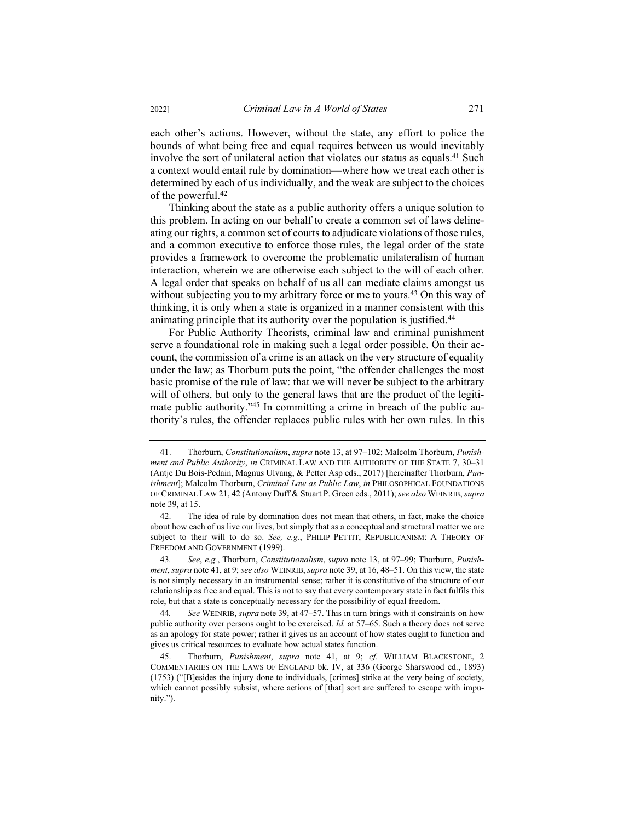each other's actions. However, without the state, any effort to police the bounds of what being free and equal requires between us would inevitably involve the sort of unilateral action that violates our status as equals.<sup>41</sup> Such a context would entail rule by domination-where how we treat each other is determined by each of us individually, and the weak are subject to the choices of the powerful.<sup>42</sup>

Thinking about the state as a public authority offers a unique solution to this problem. In acting on our behalf to create a common set of laws delineating our rights, a common set of courts to adjudicate violations of those rules, and a common executive to enforce those rules, the legal order of the state provides a framework to overcome the problematic unilateralism of human interaction, wherein we are otherwise each subject to the will of each other. A legal order that speaks on behalf of us all can mediate claims amongst us without subjecting you to my arbitrary force or me to yours.<sup>43</sup> On this way of thinking, it is only when a state is organized in a manner consistent with this animating principle that its authority over the population is justified.<sup>44</sup>

For Public Authority Theorists, criminal law and criminal punishment serve a foundational role in making such a legal order possible. On their account, the commission of a crime is an attack on the very structure of equality under the law; as Thorburn puts the point, "the offender challenges the most basic promise of the rule of law: that we will never be subject to the arbitrary will of others, but only to the general laws that are the product of the legitimate public authority."45 In committing a crime in breach of the public authority's rules, the offender replaces public rules with her own rules. In this

<sup>41.</sup> Thorburn, Constitutionalism, supra note 13, at 97-102; Malcolm Thorburn, Punishment and Public Authority, in CRIMINAL LAW AND THE AUTHORITY OF THE STATE 7, 30-31 (Antie Du Bois-Pedain, Magnus Ulvang, & Petter Asp eds., 2017) [hereinafter Thorburn, Punishment]; Malcolm Thorburn, Criminal Law as Public Law, in PHILOSOPHICAL FOUNDATIONS OF CRIMINAL LAW 21, 42 (Antony Duff & Stuart P. Green eds., 2011); see also WEINRIB, supra note 39, at 15.

<sup>42.</sup> The idea of rule by domination does not mean that others, in fact, make the choice about how each of us live our lives, but simply that as a conceptual and structural matter we are subject to their will to do so. See, e.g., PHILIP PETTIT, REPUBLICANISM: A THEORY OF FREEDOM AND GOVERNMENT (1999).

<sup>43</sup> See, e.g., Thorburn, Constitutionalism, supra note 13, at 97-99; Thorburn, Punishment, supra note 41, at 9; see also WEINRIB, supra note 39, at 16, 48–51. On this view, the state is not simply necessary in an instrumental sense; rather it is constitutive of the structure of our relationship as free and equal. This is not to say that every contemporary state in fact fulfils this role, but that a state is conceptually necessary for the possibility of equal freedom.

<sup>44.</sup> See WEINRIB, supra note 39, at 47–57. This in turn brings with it constraints on how public authority over persons ought to be exercised. *Id.* at 57–65. Such a theory does not serve as an apology for state power; rather it gives us an account of how states ought to function and gives us critical resources to evaluate how actual states function.

<sup>45</sup> Thorburn, Punishment, supra note 41, at 9; cf. WILLIAM BLACKSTONE, 2 COMMENTARIES ON THE LAWS OF ENGLAND bk. IV, at 336 (George Sharswood ed., 1893) (1753) ("Blesides the injury done to individuals, [crimes] strike at the very being of society, which cannot possibly subsist, where actions of [that] sort are suffered to escape with impu $nity."$ ).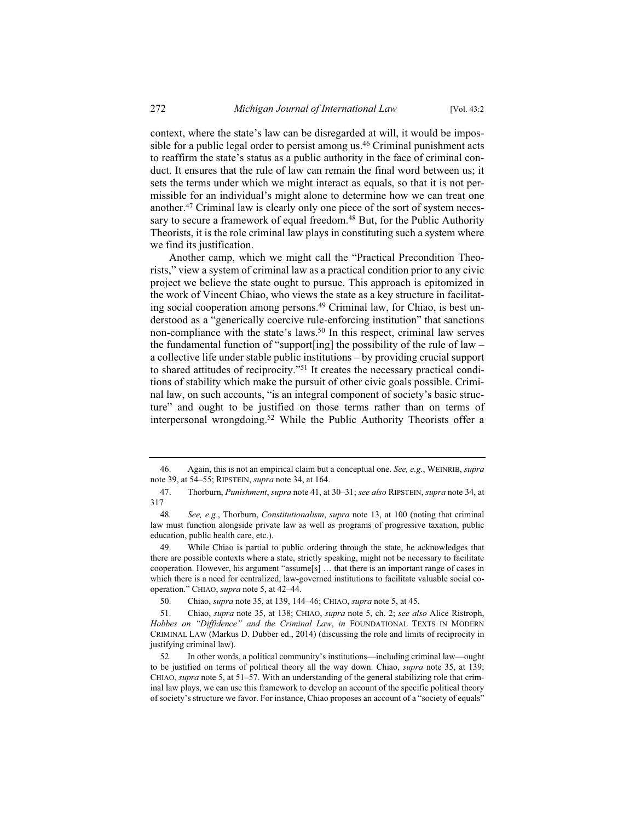context, where the state's law can be disregarded at will, it would be impossible for a public legal order to persist among us.<sup>46</sup> Criminal punishment acts to reaffirm the state's status as a public authority in the face of criminal conduct. It ensures that the rule of law can remain the final word between us; it sets the terms under which we might interact as equals, so that it is not permissible for an individual's might alone to determine how we can treat one another.<sup>47</sup> Criminal law is clearly only one piece of the sort of system necessary to secure a framework of equal freedom.<sup>48</sup> But, for the Public Authority Theorists, it is the role criminal law plays in constituting such a system where we find its justification.

Another camp, which we might call the "Practical Precondition Theorists," view a system of criminal law as a practical condition prior to any civic project we believe the state ought to pursue. This approach is epitomized in the work of Vincent Chiao, who views the state as a key structure in facilitating social cooperation among persons.<sup>49</sup> Criminal law, for Chiao, is best understood as a "generically coercive rule-enforcing institution" that sanctions non-compliance with the state's laws.<sup>50</sup> In this respect, criminal law serves the fundamental function of "support [ing] the possibility of the rule of law  $$ a collective life under stable public institutions - by providing crucial support to shared attitudes of reciprocity."<sup>51</sup> It creates the necessary practical conditions of stability which make the pursuit of other civic goals possible. Criminal law, on such accounts, "is an integral component of society's basic structure" and ought to be justified on those terms rather than on terms of interpersonal wrongdoing.<sup>52</sup> While the Public Authority Theorists offer a

Again, this is not an empirical claim but a conceptual one. See, e.g., WEINRIB, supra 46. note 39, at 54-55; RIPSTEIN, supra note 34, at 164.

Thorburn, Punishment, supra note 41, at 30-31; see also RIPSTEIN, supra note 34, at 47. 317

See, e.g., Thorburn, Constitutionalism, supra note 13, at 100 (noting that criminal 48. law must function alongside private law as well as programs of progressive taxation, public education, public health care, etc.).

<sup>49.</sup> While Chiao is partial to public ordering through the state, he acknowledges that there are possible contexts where a state, strictly speaking, might not be necessary to facilitate cooperation. However, his argument "assume[s]  $\dots$  that there is an important range of cases in which there is a need for centralized, law-governed institutions to facilitate valuable social cooperation." CHIAO, supra note 5, at 42-44.

<sup>50.</sup> Chiao, supra note 35, at 139, 144-46; CHIAO, supra note 5, at 45.

<sup>51.</sup> Chiao, supra note 35, at 138; CHIAO, supra note 5, ch. 2; see also Alice Ristroph, Hobbes on "Diffidence" and the Criminal Law, in FOUNDATIONAL TEXTS IN MODERN CRIMINAL LAW (Markus D. Dubber ed., 2014) (discussing the role and limits of reciprocity in justifying criminal law).

<sup>52.</sup> In other words, a political community's institutions—including criminal law—ought to be justified on terms of political theory all the way down. Chiao, *supra* note 35, at 139; CHIAO, *supra* note 5, at 51–57. With an understanding of the general stabilizing role that criminal law plays, we can use this framework to develop an account of the specific political theory of society's structure we favor. For instance, Chiao proposes an account of a "society of equals"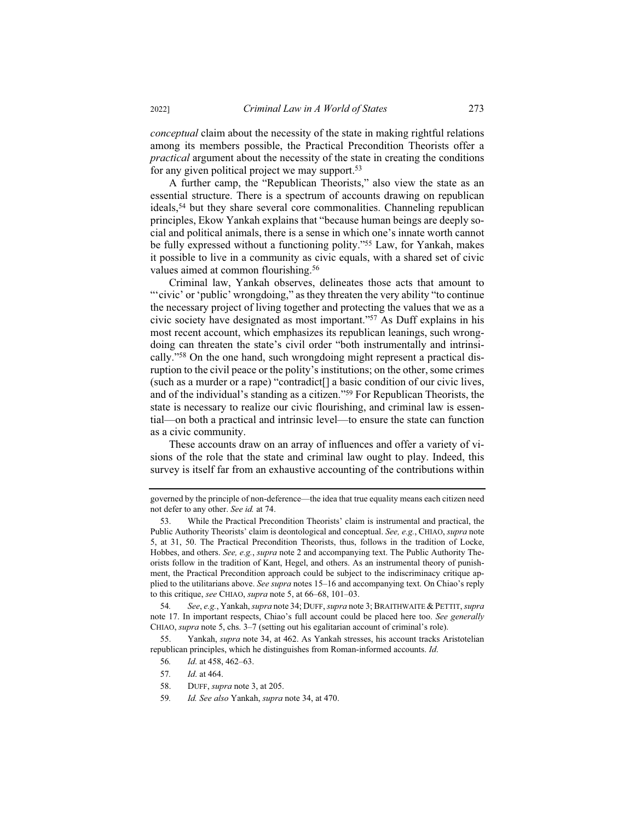*conceptual* claim about the necessity of the state in making rightful relations among its members possible, the Practical Precondition Theorists offer a *practical* argument about the necessity of the state in creating the conditions for any given political project we may support.<sup>53</sup>

A further camp, the "Republican Theorists," also view the state as an essential structure. There is a spectrum of accounts drawing on republican ideals,<sup>54</sup> but they share several core commonalities. Channeling republican principles, Ekow Yankah explains that "because human beings are deeply social and political animals, there is a sense in which one's innate worth cannot be fully expressed without a functioning polity."55 Law, for Yankah, makes it possible to live in a community as civic equals, with a shared set of civic values aimed at common flourishing.<sup>56</sup>

Criminal law, Yankah observes, delineates those acts that amount to "civic' or 'public' wrongdoing," as they threaten the very ability "to continue the necessary project of living together and protecting the values that we as a civic society have designated as most important."<sup>57</sup> As Duff explains in his most recent account, which emphasizes its republican leanings, such wrongdoing can threaten the state's civil order "both instrumentally and intrinsically."<sup>58</sup> On the one hand, such wrongdoing might represent a practical disruption to the civil peace or the polity's institutions; on the other, some crimes (such as a murder or a rape) "contradict[] a basic condition of our civic lives, and of the individual's standing as a citizen."<sup>59</sup> For Republican Theorists, the state is necessary to realize our civic flourishing, and criminal law is essential—on both a practical and intrinsic level—to ensure the state can function as a civic community.

These accounts draw on an array of influences and offer a variety of visions of the role that the state and criminal law ought to play. Indeed, this survey is itself far from an exhaustive accounting of the contributions within

54. See, e.g., Yankah, supra note 34; DUFF, supra note 3; BRAITHWAITE & PETTIT, supra note 17. In important respects, Chiao's full account could be placed here too. See generally CHIAO, supra note 5, chs. 3-7 (setting out his egalitarian account of criminal's role).

59. Id. See also Yankah, supra note 34, at 470.

governed by the principle of non-deference—the idea that true equality means each citizen need not defer to any other. See id. at 74.

While the Practical Precondition Theorists' claim is instrumental and practical, the 53 Public Authority Theorists' claim is deontological and conceptual. See, e.g., CHIAO, supra note 5, at 31, 50. The Practical Precondition Theorists, thus, follows in the tradition of Locke, Hobbes, and others. See, e.g., supra note 2 and accompanying text. The Public Authority Theorists follow in the tradition of Kant, Hegel, and others. As an instrumental theory of punishment, the Practical Precondition approach could be subject to the indiscriminacy critique applied to the utilitarians above. See supra notes 15–16 and accompanying text. On Chiao's reply to this critique, see CHIAO, supra note 5, at 66–68, 101–03.

Yankah, supra note 34, at 462. As Yankah stresses, his account tracks Aristotelian 55. republican principles, which he distinguishes from Roman-informed accounts. Id.

<sup>56.</sup> Id. at 458, 462-63.

<sup>57.</sup> Id. at 464.

<sup>58.</sup> DUFF, supra note 3, at 205.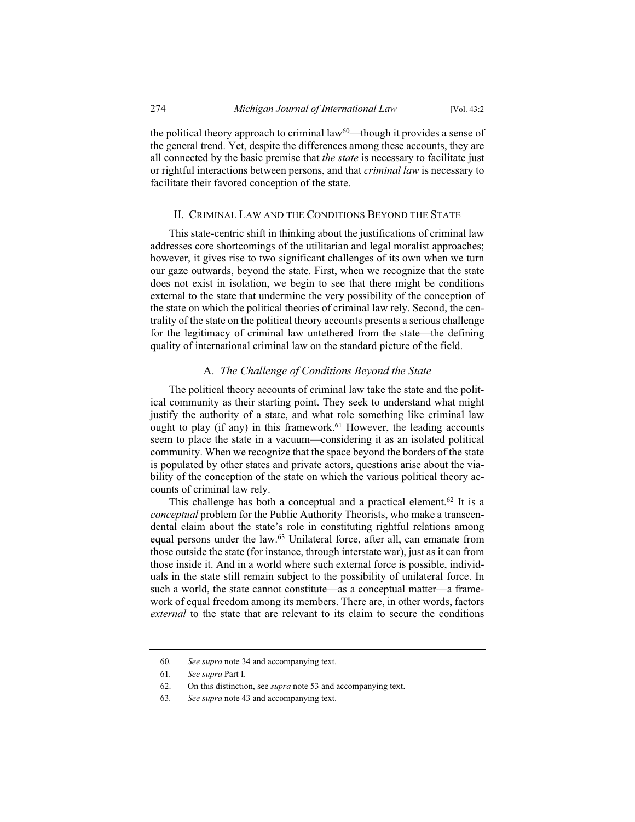the political theory approach to criminal law $60$ —though it provides a sense of the general trend. Yet, despite the differences among these accounts, they are all connected by the basic premise that *the state* is necessary to facilitate just or rightful interactions between persons, and that criminal law is necessary to facilitate their favored conception of the state.

# **II. CRIMINAL LAW AND THE CONDITIONS BEYOND THE STATE**

This state-centric shift in thinking about the justifications of criminal law addresses core shortcomings of the utilitarian and legal moralist approaches; however, it gives rise to two significant challenges of its own when we turn our gaze outwards, beyond the state. First, when we recognize that the state does not exist in isolation, we begin to see that there might be conditions external to the state that undermine the very possibility of the conception of the state on which the political theories of criminal law rely. Second, the centrality of the state on the political theory accounts presents a serious challenge for the legitimacy of criminal law unterthered from the state—the defining quality of international criminal law on the standard picture of the field.

# A. The Challenge of Conditions Beyond the State

The political theory accounts of criminal law take the state and the political community as their starting point. They seek to understand what might justify the authority of a state, and what role something like criminal law ought to play (if any) in this framework.<sup>61</sup> However, the leading accounts seem to place the state in a vacuum—considering it as an isolated political community. When we recognize that the space beyond the borders of the state is populated by other states and private actors, questions arise about the viability of the conception of the state on which the various political theory accounts of criminal law rely.

This challenge has both a conceptual and a practical element.<sup>62</sup> It is a conceptual problem for the Public Authority Theorists, who make a transcendental claim about the state's role in constituting rightful relations among equal persons under the law.<sup>63</sup> Unilateral force, after all, can emanate from those outside the state (for instance, through interstate war), just as it can from those inside it. And in a world where such external force is possible, individuals in the state still remain subject to the possibility of unilateral force. In such a world, the state cannot constitute—as a conceptual matter—a framework of equal freedom among its members. There are, in other words, factors *external* to the state that are relevant to its claim to secure the conditions

274

<sup>60.</sup> See supra note 34 and accompanying text.

<sup>61.</sup> See supra Part I.

<sup>62.</sup> On this distinction, see *supra* note 53 and accompanying text.

<sup>63.</sup> See supra note 43 and accompanying text.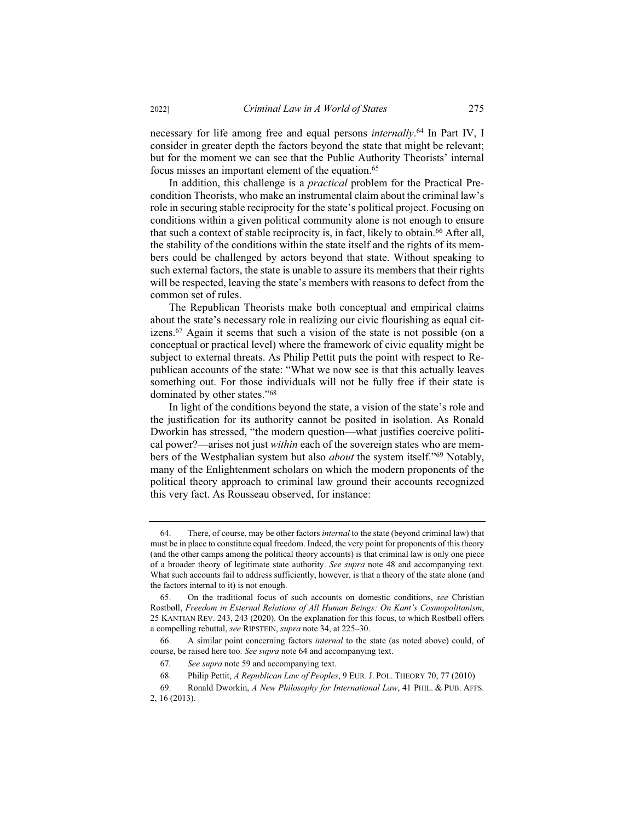necessary for life among free and equal persons *internally*.<sup>64</sup> In Part IV, I consider in greater depth the factors beyond the state that might be relevant; but for the moment we can see that the Public Authority Theorists' internal focus misses an important element of the equation.<sup>65</sup>

In addition, this challenge is a *practical* problem for the Practical Precondition Theorists, who make an instrumental claim about the criminal law's role in securing stable reciprocity for the state's political project. Focusing on conditions within a given political community alone is not enough to ensure that such a context of stable reciprocity is, in fact, likely to obtain.<sup>66</sup> After all, the stability of the conditions within the state itself and the rights of its members could be challenged by actors beyond that state. Without speaking to such external factors, the state is unable to assure its members that their rights will be respected, leaving the state's members with reasons to defect from the common set of rules.

The Republican Theorists make both conceptual and empirical claims about the state's necessary role in realizing our civic flourishing as equal citizens.<sup>67</sup> Again it seems that such a vision of the state is not possible (on a conceptual or practical level) where the framework of civic equality might be subject to external threats. As Philip Pettit puts the point with respect to Republican accounts of the state: "What we now see is that this actually leaves something out. For those individuals will not be fully free if their state is dominated by other states."68

In light of the conditions beyond the state, a vision of the state's role and the justification for its authority cannot be posited in isolation. As Ronald Dworkin has stressed, "the modern question—what justifies coercive political power?—arises not just within each of the sovereign states who are members of the Westphalian system but also *about* the system itself."<sup>69</sup> Notably, many of the Enlightenment scholars on which the modern proponents of the political theory approach to criminal law ground their accounts recognized this very fact. As Rousseau observed, for instance:

<sup>64.</sup> There, of course, may be other factors *internal* to the state (beyond criminal law) that must be in place to constitute equal freedom. Indeed, the very point for proponents of this theory (and the other camps among the political theory accounts) is that criminal law is only one piece of a broader theory of legitimate state authority. See supra note 48 and accompanying text. What such accounts fail to address sufficiently, however, is that a theory of the state alone (and the factors internal to it) is not enough.

<sup>65</sup> On the traditional focus of such accounts on domestic conditions, see Christian Rostbøll, Freedom in External Relations of All Human Beings: On Kant's Cosmopolitanism, 25 KANTIAN REV. 243, 243 (2020). On the explanation for this focus, to which Rostbøll offers a compelling rebuttal, see RIPSTEIN, supra note 34, at 225-30.

<sup>66.</sup> A similar point concerning factors *internal* to the state (as noted above) could, of course, be raised here too. See supra note 64 and accompanying text.

<sup>67.</sup> See supra note 59 and accompanying text.

<sup>68.</sup> Philip Pettit, A Republican Law of Peoples, 9 EUR. J. POL. THEORY 70, 77 (2010)

<sup>69.</sup> Ronald Dworkin, A New Philosophy for International Law, 41 PHIL. & PUB. AFFS. 2, 16 (2013).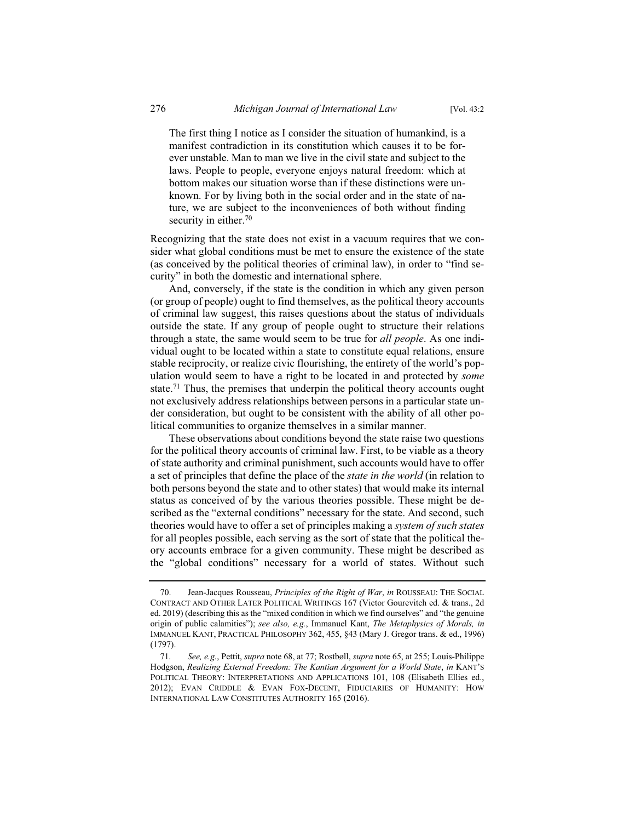The first thing I notice as I consider the situation of humankind, is a manifest contradiction in its constitution which causes it to be forever unstable. Man to man we live in the civil state and subject to the laws. People to people, everyone enjoys natural freedom: which at bottom makes our situation worse than if these distinctions were unknown. For by living both in the social order and in the state of nature, we are subject to the inconveniences of both without finding security in either.<sup>70</sup>

Recognizing that the state does not exist in a vacuum requires that we consider what global conditions must be met to ensure the existence of the state (as conceived by the political theories of criminal law), in order to "find security" in both the domestic and international sphere.

And, conversely, if the state is the condition in which any given person (or group of people) ought to find themselves, as the political theory accounts of criminal law suggest, this raises questions about the status of individuals outside the state. If any group of people ought to structure their relations through a state, the same would seem to be true for *all people*. As one individual ought to be located within a state to constitute equal relations, ensure stable reciprocity, or realize civic flourishing, the entirety of the world's population would seem to have a right to be located in and protected by some state.<sup>71</sup> Thus, the premises that underpin the political theory accounts ought not exclusively address relationships between persons in a particular state under consideration, but ought to be consistent with the ability of all other political communities to organize themselves in a similar manner.

These observations about conditions beyond the state raise two questions for the political theory accounts of criminal law. First, to be viable as a theory of state authority and criminal punishment, such accounts would have to offer a set of principles that define the place of the *state in the world* (in relation to both persons beyond the state and to other states) that would make its internal status as conceived of by the various theories possible. These might be described as the "external conditions" necessary for the state. And second, such theories would have to offer a set of principles making a *system of such states* for all peoples possible, each serving as the sort of state that the political theory accounts embrace for a given community. These might be described as the "global conditions" necessary for a world of states. Without such

Jean-Jacques Rousseau, Principles of the Right of War, in ROUSSEAU: THE SOCIAL 70. CONTRACT AND OTHER LATER POLITICAL WRITINGS 167 (Victor Gourevitch ed. & trans., 2d ed. 2019) (describing this as the "mixed condition in which we find ourselves" and "the genuine" origin of public calamities"); see also, e.g., Immanuel Kant, The Metaphysics of Morals, in IMMANUEL KANT, PRACTICAL PHILOSOPHY 362, 455, §43 (Mary J. Gregor trans. & ed., 1996)  $(1797).$ 

<sup>71.</sup> See, e.g., Pettit, supra note 68, at 77; Rostbøll, supra note 65, at 255; Louis-Philippe Hodgson, Realizing External Freedom: The Kantian Argument for a World State, in KANT'S POLITICAL THEORY: INTERPRETATIONS AND APPLICATIONS 101, 108 (Elisabeth Ellies ed., 2012); EVAN CRIDDLE & EVAN FOX-DECENT, FIDUCIARIES OF HUMANITY: HOW INTERNATIONAL LAW CONSTITUTES AUTHORITY 165 (2016).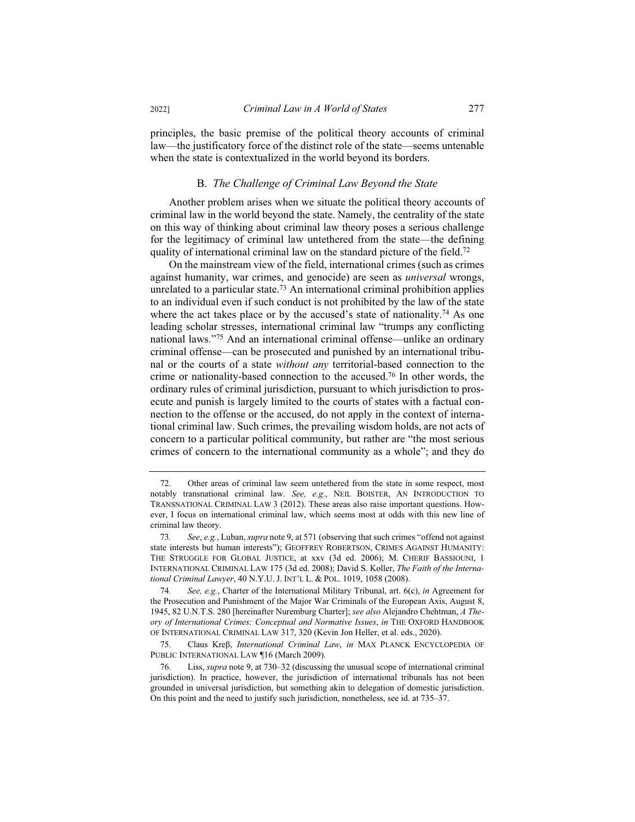principles, the basic premise of the political theory accounts of criminal law—the justificatory force of the distinct role of the state—seems untenable when the state is contextualized in the world beyond its borders.

# %*The Challenge of Criminal Law Beyond the State*

Another problem arises when we situate the political theory accounts of criminal law in the world beyond the state. Namely, the centrality of the state on this way of thinking about criminal law theory poses a serious challenge for the legitimacy of criminal law untethered from the state—the defining quality of international criminal law on the standard picture of the field.<sup>72</sup>

On the mainstream view of the field, international crimes (such as crimes against humanity, war crimes, and genocide) are seen as *universal* wrongs, unrelated to a particular state.<sup>73</sup> An international criminal prohibition applies to an individual even if such conduct is not prohibited by the law of the state where the act takes place or by the accused's state of nationality.<sup>74</sup> As one leading scholar stresses, international criminal law "trumps any conflicting national laws."75 And an international criminal offense—unlike an ordinary criminal offense—can be prosecuted and punished by an international tribunal or the courts of a state *without any* territorial-based connection to the crime or nationality-based connection to the accused.<sup>76</sup> In other words, the ordinary rules of criminal jurisdiction, pursuant to which jurisdiction to prosecute and punish is largely limited to the courts of states with a factual connection to the offense or the accused, do not apply in the context of international criminal law. Such crimes, the prevailing wisdom holds, are not acts of concern to a particular political community, but rather are "the most serious crimes of concern to the international community as a whole"; and they do

75. Claus Kreß, International Criminal Law, in MAX PLANCK ENCYCLOPEDIA OF PUBLIC INTERNATIONAL LAW 16 (March 2009).

<sup>72.</sup> Other areas of criminal law seem untethered from the state in some respect, most notably transnational criminal law. See, e.g., NEIL BOISTER, AN INTRODUCTION TO TRANSNATIONAL CRIMINAL LAW 3 (2012). These areas also raise important questions. However, I focus on international criminal law, which seems most at odds with this new line of criminal law theory.

*See, e.g., Luban, supra* note 9, at 571 (observing that such crimes "offend not against state interests but human interests"); GEOFFREY ROBERTSON, CRIMES AGAINST HUMANITY: THE STRUGGLE FOR GLOBAL JUSTICE, at xxv (3d ed. 2006); M. CHERIF BASSIOUNI, 1 INTERNATIONAL CRIMINAL LAW 175 (3d ed. 2008); David S. Koller, The Faith of the Interna*tional Criminal Lawyer*, 40 N.Y.U. J. INT'L L. & POL. 1019, 1058 (2008).

*ree, e.g.* Charter of the International Military Tribunal, art. 6(c), in Agreement for the Prosecution and Punishment of the Major War Criminals of the European Axis, August 8, 1945, 82 U.N.T.S. 280 [hereinafter Nuremburg Charter]; see also Alejandro Chehtman, A The*ory of International Crimes: Conceptual and Normative Issues, in THE OXFORD HANDBOOK* OF INTERNATIONAL CRIMINAL LAW 317, 320 (Kevin Jon Heller, et al. eds., 2020).

<sup>76.</sup> Liss, *supra* note 9, at 730–32 (discussing the unusual scope of international criminal jurisdiction). In practice, however, the jurisdiction of international tribunals has not been grounded in universal jurisdiction, but something akin to delegation of domestic jurisdiction. On this point and the need to justify such jurisdiction, nonetheless, see id. at  $735-37$ .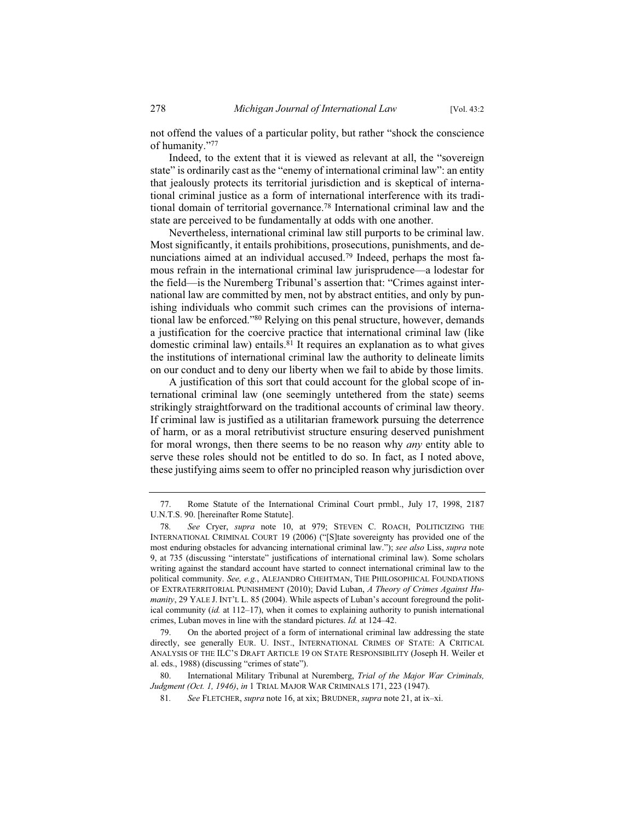not offend the values of a particular polity, but rather "shock the conscience" of humanity."77

Indeed, to the extent that it is viewed as relevant at all, the "sovereign state" is ordinarily cast as the "enemy of international criminal law": an entity that jealously protects its territorial jurisdiction and is skeptical of international criminal justice as a form of international interference with its traditional domain of territorial governance.<sup>78</sup> International criminal law and the state are perceived to be fundamentally at odds with one another.

Nevertheless, international criminal law still purports to be criminal law. Most significantly, it entails prohibitions, prosecutions, punishments, and denunciations aimed at an individual accused.<sup>79</sup> Indeed, perhaps the most famous refrain in the international criminal law jurisprudence—a lodestar for the field—is the Nuremberg Tribunal's assertion that: "Crimes against international law are committed by men, not by abstract entities, and only by punishing individuals who commit such crimes can the provisions of international law be enforced."<sup>80</sup> Relying on this penal structure, however, demands a justification for the coercive practice that international criminal law (like domestic criminal law) entails.<sup>81</sup> It requires an explanation as to what gives the institutions of international criminal law the authority to delineate limits on our conduct and to deny our liberty when we fail to abide by those limits.

A justification of this sort that could account for the global scope of international criminal law (one seemingly unterthered from the state) seems strikingly straightforward on the traditional accounts of criminal law theory. If criminal law is justified as a utilitarian framework pursuing the deterrence of harm, or as a moral retributivist structure ensuring deserved punishment for moral wrongs, then there seems to be no reason why any entity able to serve these roles should not be entitled to do so. In fact, as I noted above, these justifying aims seem to offer no principled reason why jurisdiction over

<sup>77.</sup> Rome Statute of the International Criminal Court prmbl., July 17, 1998, 2187 U.N.T.S. 90. [hereinafter Rome Statute].

<sup>78.</sup> See Cryer, supra note 10, at 979; STEVEN C. ROACH, POLITICIZING THE INTERNATIONAL CRIMINAL COURT 19 (2006) ("[S]tate sovereignty has provided one of the most enduring obstacles for advancing international criminal law."); see also Liss, supra note 9, at 735 (discussing "interstate" justifications of international criminal law). Some scholars writing against the standard account have started to connect international criminal law to the political community. See, e.g., ALEJANDRO CHEHTMAN, THE PHILOSOPHICAL FOUNDATIONS OF EXTRATERRITORIAL PUNISHMENT (2010); David Luban, A Theory of Crimes Against Humanity, 29 YALE J. INT'L L. 85 (2004). While aspects of Luban's account foreground the political community (id. at  $112-17$ ), when it comes to explaining authority to punish international crimes, Luban moves in line with the standard pictures. *Id.* at 124–42.

<sup>79.</sup> On the aborted project of a form of international criminal law addressing the state directly, see generally EUR. U. INST., INTERNATIONAL CRIMES OF STATE: A CRITICAL ANALYSIS OF THE ILC'S DRAFT ARTICLE 19 ON STATE RESPONSIBILITY (Joseph H. Weiler et al. eds., 1988) (discussing "crimes of state").

<sup>80.</sup> International Military Tribunal at Nuremberg, Trial of the Major War Criminals, Judgment (Oct. 1, 1946), in 1 TRIAL MAJOR WAR CRIMINALS 171, 223 (1947).

See FLETCHER, supra note 16, at xix; BRUDNER, supra note 21, at ix-xi. 81.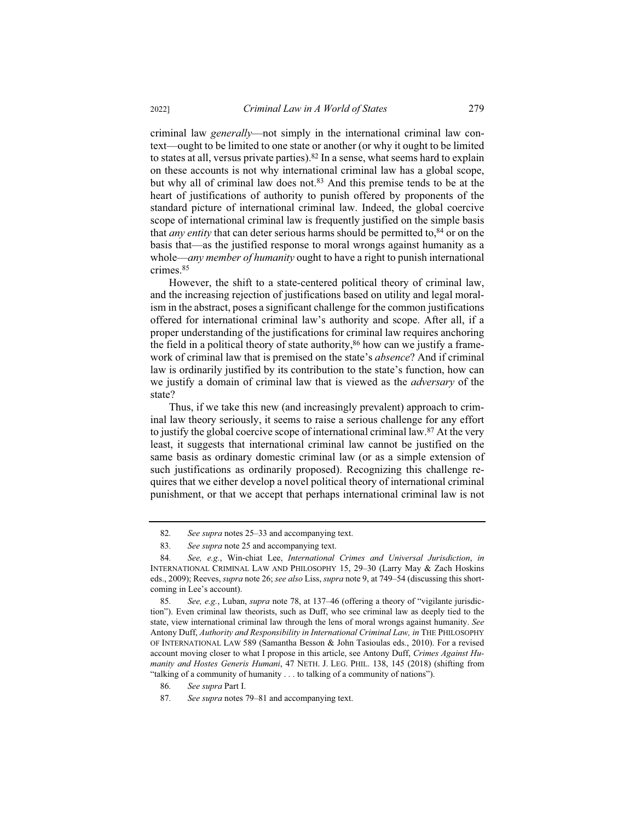criminal law *generally*—not simply in the international criminal law context—ought to be limited to one state or another (or why it ought to be limited to states at all, versus private parties).<sup>82</sup> In a sense, what seems hard to explain on these accounts is not why international criminal law has a global scope, but why all of criminal law does not.<sup>83</sup> And this premise tends to be at the heart of justifications of authority to punish offered by proponents of the standard picture of international criminal law. Indeed, the global coercive scope of international criminal law is frequently justified on the simple basis that *any entity* that can deter serious harms should be permitted to,  $84$  or on the basis that—as the justified response to moral wrongs against humanity as a whole—any member of humanity ought to have a right to punish international crimes.<sup>85</sup>

However, the shift to a state-centered political theory of criminal law, and the increasing rejection of justifications based on utility and legal moralism in the abstract, poses a significant challenge for the common justifications offered for international criminal law's authority and scope. After all, if a proper understanding of the justifications for criminal law requires anchoring the field in a political theory of state authority,<sup>86</sup> how can we justify a framework of criminal law that is premised on the state's *absence*? And if criminal law is ordinarily justified by its contribution to the state's function, how can we justify a domain of criminal law that is viewed as the *adversary* of the state?

Thus, if we take this new (and increasingly prevalent) approach to criminal law theory seriously, it seems to raise a serious challenge for any effort to justify the global coercive scope of international criminal law.<sup>87</sup> At the very least, it suggests that international criminal law cannot be justified on the same basis as ordinary domestic criminal law (or as a simple extension of such justifications as ordinarily proposed). Recognizing this challenge requires that we either develop a novel political theory of international criminal punishment, or that we accept that perhaps international criminal law is not

<sup>82.</sup> See supra notes 25–33 and accompanying text.

<sup>83.</sup> See supra note 25 and accompanying text.

<sup>84.</sup> See, e.g., Win-chiat Lee, International Crimes and Universal Jurisdiction, in INTERNATIONAL CRIMINAL LAW AND PHILOSOPHY 15, 29-30 (Larry May & Zach Hoskins eds., 2009); Reeves, supra note 26; see also Liss, supra note 9, at 749-54 (discussing this shortcoming in Lee's account).

<sup>85</sup> See, e.g., Luban, supra note 78, at 137-46 (offering a theory of "vigilante jurisdiction"). Even criminal law theorists, such as Duff, who see criminal law as deeply tied to the state, view international criminal law through the lens of moral wrongs against humanity. See Antony Duff, Authority and Responsibility in International Criminal Law, in THE PHILOSOPHY OF INTERNATIONAL LAW 589 (Samantha Besson & John Tasioulas eds., 2010). For a revised account moving closer to what I propose in this article, see Antony Duff, Crimes Against Humanity and Hostes Generis Humani, 47 NETH. J. LEG. PHIL. 138, 145 (2018) (shifting from "talking of a community of humanity . . . to talking of a community of nations").

See supra Part I. 86.

See supra notes 79–81 and accompanying text. 87.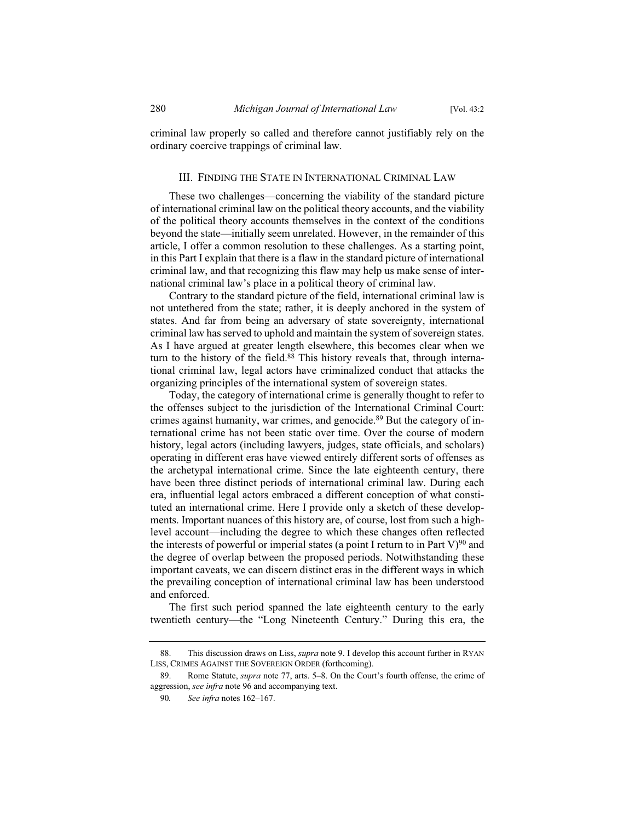criminal law properly so called and therefore cannot justifiably rely on the ordinary coercive trappings of criminal law.

### III. FINDING THE STATE IN INTERNATIONAL CRIMINAL LAW

These two challenges—concerning the viability of the standard picture of international criminal law on the political theory accounts, and the viability of the political theory accounts themselves in the context of the conditions beyond the state—initially seem unrelated. However, in the remainder of this article, I offer a common resolution to these challenges. As a starting point, in this Part I explain that there is a flaw in the standard picture of international criminal law, and that recognizing this flaw may help us make sense of international criminal law's place in a political theory of criminal law.

Contrary to the standard picture of the field, international criminal law is not untethered from the state; rather, it is deeply anchored in the system of states. And far from being an adversary of state sovereignty, international criminal law has served to uphold and maintain the system of sovereign states. As I have argued at greater length elsewhere, this becomes clear when we turn to the history of the field.<sup>88</sup> This history reveals that, through international criminal law, legal actors have criminalized conduct that attacks the organizing principles of the international system of sovereign states.

Today, the category of international crime is generally thought to refer to the offenses subject to the jurisdiction of the International Criminal Court: crimes against humanity, war crimes, and genocide.<sup>89</sup> But the category of international crime has not been static over time. Over the course of modern history, legal actors (including lawyers, judges, state officials, and scholars) operating in different eras have viewed entirely different sorts of offenses as the archetypal international crime. Since the late eighteenth century, there have been three distinct periods of international criminal law. During each era, influential legal actors embraced a different conception of what constituted an international crime. Here I provide only a sketch of these developments. Important nuances of this history are, of course, lost from such a highlevel account—including the degree to which these changes often reflected the interests of powerful or imperial states (a point I return to in Part  $V$ )<sup>90</sup> and the degree of overlap between the proposed periods. Notwithstanding these important caveats, we can discern distinct eras in the different ways in which the prevailing conception of international criminal law has been understood and enforced.

The first such period spanned the late eighteenth century to the early twentieth century—the "Long Nineteenth Century." During this era, the

This discussion draws on Liss, *supra* note 9. I develop this account further in RYAN 88. LISS, CRIMES AGAINST THE SOVEREIGN ORDER (forthcoming).

<sup>89.</sup> Rome Statute, *supra* note 77, arts. 5–8. On the Court's fourth offense, the crime of aggression, see infra note 96 and accompanying text.

<sup>90.</sup> See infra notes 162-167.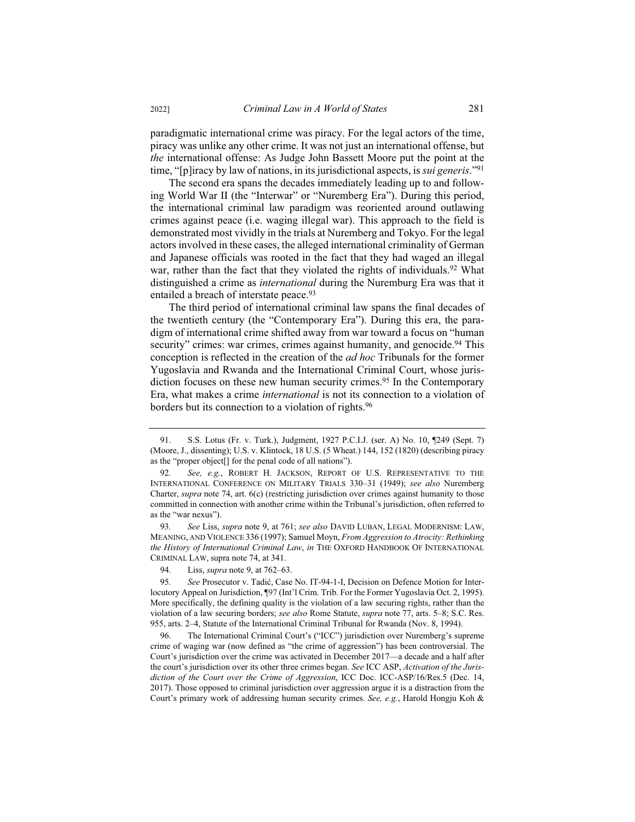paradigmatic international crime was piracy. For the legal actors of the time, piracy was unlike any other crime. It was not just an international offense, but *the* international offense: As Judge John Bassett Moore put the point at the time, "[p]iracy by law of nations, in its jurisdictional aspects, is *sui generis*."<sup>91</sup>

The second era spans the decades immediately leading up to and following World War II (the "Interwar" or "Nuremberg Era"). During this period, the international criminal law paradigm was reoriented around outlawing crimes against peace (i.e. waging illegal war). This approach to the field is demonstrated most vividly in the trials at Nuremberg and Tokyo. For the legal actors involved in these cases, the alleged international criminality of German and Japanese officials was rooted in the fact that they had waged an illegal war, rather than the fact that they violated the rights of individuals.<sup>92</sup> What distinguished a crime as *international* during the Nuremburg Era was that it entailed a breach of interstate peace.<sup>93</sup>

The third period of international criminal law spans the final decades of the twentieth century (the "Contemporary Era"). During this era, the paradigm of international crime shifted away from war toward a focus on "human" security" crimes: war crimes, crimes against humanity, and genocide.<sup>94</sup> This conception is reflected in the creation of the *ad hoc* Tribunals for the former Yugoslavia and Rwanda and the International Criminal Court, whose jurisdiction focuses on these new human security crimes.<sup>95</sup> In the Contemporary Era, what makes a crime *international* is not its connection to a violation of borders but its connection to a violation of rights.<sup>96</sup>

S.S. Lotus (Fr. v. Turk.), Judgment, 1927 P.C.I.J. (ser. A) No. 10, ¶249 (Sept. 7) 91. (Moore, J., dissenting); U.S. v. Klintock, 18 U.S. (5 Wheat.) 144, 152 (1820) (describing piracy as the "proper object[] for the penal code of all nations").

See, e.g., ROBERT H. JACKSON, REPORT OF U.S. REPRESENTATIVE TO THE  $92$ INTERNATIONAL CONFERENCE ON MILITARY TRIALS 330-31 (1949); see also Nuremberg Charter, *supra* note 74, art. 6(c) (restricting jurisdiction over crimes against humanity to those committed in connection with another crime within the Tribunal's jurisdiction, often referred to as the "war nexus".

<sup>93.</sup> See Liss, supra note 9, at 761; see also DAVID LUBAN, LEGAL MODERNISM: LAW, MEANING, AND VIOLENCE 336 (1997); Samuel Moyn, From Aggression to Atrocity: Rethinking the History of International Criminal Law, in THE OXFORD HANDBOOK OF INTERNATIONAL CRIMINAL LAW, supra note 74, at 341.

<sup>94.</sup> Liss, *supra* note 9, at 762–63.

<sup>95.</sup> See Prosecutor v. Tadić, Case No. IT-94-1-I, Decision on Defence Motion for Interlocutory Appeal on Jurisdiction, ¶97 (Int'l Crim. Trib. For the Former Yugoslavia Oct. 2, 1995). More specifically, the defining quality is the violation of a law securing rights, rather than the violation of a law securing borders; see also Rome Statute, supra note 77, arts. 5–8; S.C. Res. 955, arts. 2–4, Statute of the International Criminal Tribunal for Rwanda (Nov. 8, 1994).

<sup>96.</sup> The International Criminal Court's ("ICC") jurisdiction over Nuremberg's supreme crime of waging war (now defined as "the crime of aggression") has been controversial. The Court's jurisdiction over the crime was activated in December 2017—a decade and a half after the court's jurisdiction over its other three crimes began. See ICC ASP, Activation of the Jurisdiction of the Court over the Crime of Aggression, ICC Doc. ICC-ASP/16/Res.5 (Dec. 14, 2017). Those opposed to criminal jurisdiction over aggression argue it is a distraction from the Court's primary work of addressing human security crimes. See, e.g., Harold Hongju Koh &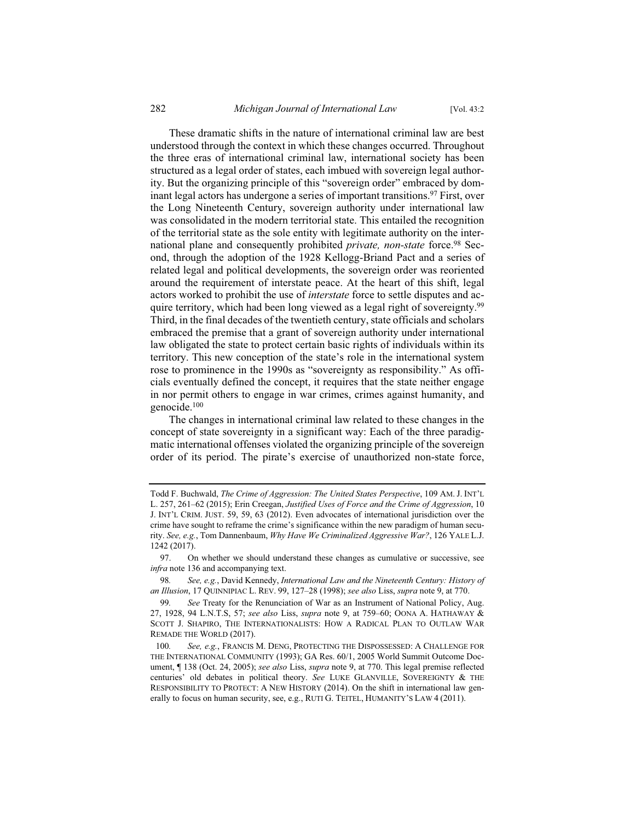These dramatic shifts in the nature of international criminal law are best understood through the context in which these changes occurred. Throughout the three eras of international criminal law, international society has been structured as a legal order of states, each imbued with sovereign legal authority. But the organizing principle of this "sovereign order" embraced by dominant legal actors has undergone a series of important transitions.<sup>97</sup> First, over the Long Nineteenth Century, sovereign authority under international law was consolidated in the modern territorial state. This entailed the recognition of the territorial state as the sole entity with legitimate authority on the international plane and consequently prohibited private, non-state force.<sup>98</sup> Second, through the adoption of the 1928 Kellogg-Briand Pact and a series of related legal and political developments, the sovereign order was reoriented around the requirement of interstate peace. At the heart of this shift, legal actors worked to prohibit the use of *interstate* force to settle disputes and acquire territory, which had been long viewed as a legal right of sovereignty.<sup>99</sup> Third, in the final decades of the twentieth century, state officials and scholars embraced the premise that a grant of sovereign authority under international law obligated the state to protect certain basic rights of individuals within its territory. This new conception of the state's role in the international system rose to prominence in the 1990s as "sovereignty as responsibility." As officials eventually defined the concept, it requires that the state neither engage in nor permit others to engage in war crimes, crimes against humanity, and genocide.<sup>100</sup>

The changes in international criminal law related to these changes in the concept of state sovereignty in a significant way: Each of the three paradigmatic international offenses violated the organizing principle of the sovereign order of its period. The pirate's exercise of unauthorized non-state force,

Todd F. Buchwald, The Crime of Aggression: The United States Perspective, 109 AM, J. INT'L L. 257, 261–62 (2015); Erin Creegan, Justified Uses of Force and the Crime of Aggression, 10 J. INT'L CRIM. JUST. 59, 59, 63 (2012). Even advocates of international jurisdiction over the crime have sought to reframe the crime's significance within the new paradigm of human security. See, e.g., Tom Dannenbaum, Why Have We Criminalized Aggressive War?, 126 YALE L.J. 1242 (2017).

<sup>97.</sup> On whether we should understand these changes as cumulative or successive, see infra note 136 and accompanying text.

See, e.g., David Kennedy, International Law and the Nineteenth Century: History of 98. an Illusion, 17 QUINNIPIAC L. REV. 99, 127-28 (1998); see also Liss, supra note 9, at 770.

See Treaty for the Renunciation of War as an Instrument of National Policy, Aug. 99 27, 1928, 94 L.N.T.S, 57; see also Liss, supra note 9, at 759–60; OONA A. HATHAWAY & SCOTT J. SHAPIRO, THE INTERNATIONALISTS: HOW A RADICAL PLAN TO OUTLAW WAR REMADE THE WORLD (2017).

See, e.g., FRANCIS M. DENG, PROTECTING THE DISPOSSESSED: A CHALLENGE FOR 100. THE INTERNATIONAL COMMUNITY (1993); GA Res. 60/1, 2005 World Summit Outcome Document, ¶ 138 (Oct. 24, 2005); see also Liss, supra note 9, at 770. This legal premise reflected centuries' old debates in political theory. See LUKE GLANVILLE, SOVEREIGNTY & THE RESPONSIBILITY TO PROTECT: A NEW HISTORY (2014). On the shift in international law generally to focus on human security, see, e.g., RUTI G. TEITEL, HUMANITY'S LAW 4 (2011).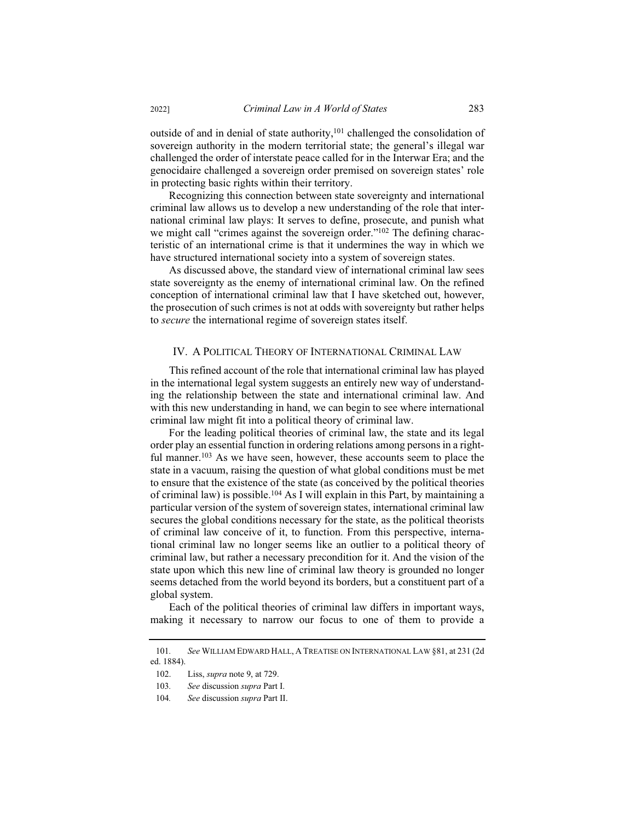outside of and in denial of state authority,<sup>101</sup> challenged the consolidation of sovereign authority in the modern territorial state; the general's illegal war challenged the order of interstate peace called for in the Interwar Era; and the genocidaire challenged a sovereign order premised on sovereign states' role in protecting basic rights within their territory.

Recognizing this connection between state sovereignty and international criminal law allows us to develop a new understanding of the role that international criminal law plays: It serves to define, prosecute, and punish what we might call "crimes against the sovereign order."<sup>102</sup> The defining characteristic of an international crime is that it undermines the way in which we have structured international society into a system of sovereign states.

As discussed above, the standard view of international criminal law sees state sovereignty as the enemy of international criminal law. On the refined conception of international criminal law that I have sketched out, however, the prosecution of such crimes is not at odds with sovereignty but rather helps to secure the international regime of sovereign states itself.

#### IV. A POLITICAL THEORY OF INTERNATIONAL CRIMINAL LAW

This refined account of the role that international criminal law has played in the international legal system suggests an entirely new way of understanding the relationship between the state and international criminal law. And with this new understanding in hand, we can begin to see where international criminal law might fit into a political theory of criminal law.

For the leading political theories of criminal law, the state and its legal order play an essential function in ordering relations among persons in a rightful manner.<sup>103</sup> As we have seen, however, these accounts seem to place the state in a vacuum, raising the question of what global conditions must be met to ensure that the existence of the state (as conceived by the political theories of criminal law) is possible.<sup>104</sup> As I will explain in this Part, by maintaining a particular version of the system of sovereign states, international criminal law secures the global conditions necessary for the state, as the political theorists of criminal law conceive of it, to function. From this perspective, international criminal law no longer seems like an outlier to a political theory of criminal law, but rather a necessary precondition for it. And the vision of the state upon which this new line of criminal law theory is grounded no longer seems detached from the world beyond its borders, but a constituent part of a global system.

Each of the political theories of criminal law differs in important ways, making it necessary to narrow our focus to one of them to provide a

<sup>101.</sup> See WILLIAM EDWARD HALL, A TREATISE ON INTERNATIONAL LAW §81, at 231 (2d ed. 1884).

<sup>102.</sup> Liss, *supra* note 9, at 729.

<sup>103.</sup> See discussion supra Part I.

<sup>104.</sup> See discussion supra Part II.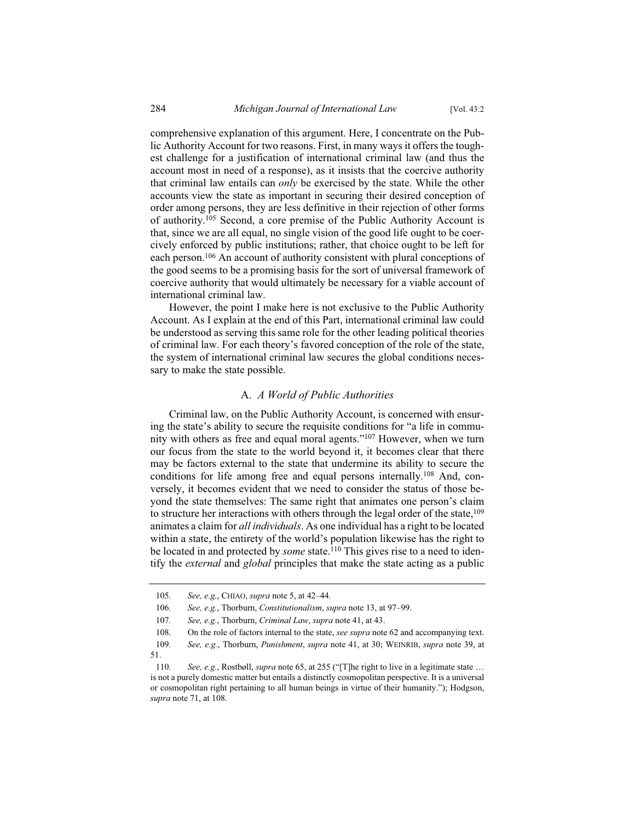comprehensive explanation of this argument. Here, I concentrate on the Public Authority Account for two reasons. First, in many ways it offers the toughest challenge for a justification of international criminal law (and thus the account most in need of a response), as it insists that the coercive authority that criminal law entails can *only* be exercised by the state. While the other accounts view the state as important in securing their desired conception of order among persons, they are less definitive in their rejection of other forms of authority.<sup>105</sup> Second, a core premise of the Public Authority Account is that, since we are all equal, no single vision of the good life ought to be coercively enforced by public institutions; rather, that choice ought to be left for each person.<sup>106</sup> An account of authority consistent with plural conceptions of the good seems to be a promising basis for the sort of universal framework of coercive authority that would ultimately be necessary for a viable account of international criminal law.

However, the point I make here is not exclusive to the Public Authority Account. As I explain at the end of this Part, international criminal law could be understood as serving this same role for the other leading political theories of criminal law. For each theory's favored conception of the role of the state, the system of international criminal law secures the global conditions necessary to make the state possible.

# A. A World of Public Authorities

Criminal law, on the Public Authority Account, is concerned with ensuring the state's ability to secure the requisite conditions for "a life in community with others as free and equal moral agents."<sup>107</sup> However, when we turn our focus from the state to the world beyond it, it becomes clear that there may be factors external to the state that undermine its ability to secure the conditions for life among free and equal persons internally.<sup>108</sup> And, conversely, it becomes evident that we need to consider the status of those beyond the state themselves: The same right that animates one person's claim to structure her interactions with others through the legal order of the state, 109 animates a claim for *all individuals*. As one individual has a right to be located within a state, the entirety of the world's population likewise has the right to be located in and protected by *some* state.<sup>110</sup> This gives rise to a need to identify the *external* and *global* principles that make the state acting as a public

<sup>105.</sup> See, e.g., CHIAO, supra note 5, at 42-44.

<sup>106.</sup> See, e.g., Thorburn, Constitutionalism, supra note 13, at 97-99.

<sup>107.</sup> See, e.g., Thorburn, Criminal Law, supra note 41, at 43.

<sup>108.</sup> On the role of factors internal to the state, see supra note 62 and accompanying text.

<sup>109.</sup> See, e.g., Thorburn, Punishment, supra note 41, at 30; WEINRIB, supra note 39, at 51.

See, e.g., Rostbøll, supra note 65, at 255 ("[T]he right to live in a legitimate state ... 110 is not a purely domestic matter but entails a distinctly cosmopolitan perspective. It is a universal or cosmopolitan right pertaining to all human beings in virtue of their humanity."); Hodgson, supra note 71, at 108.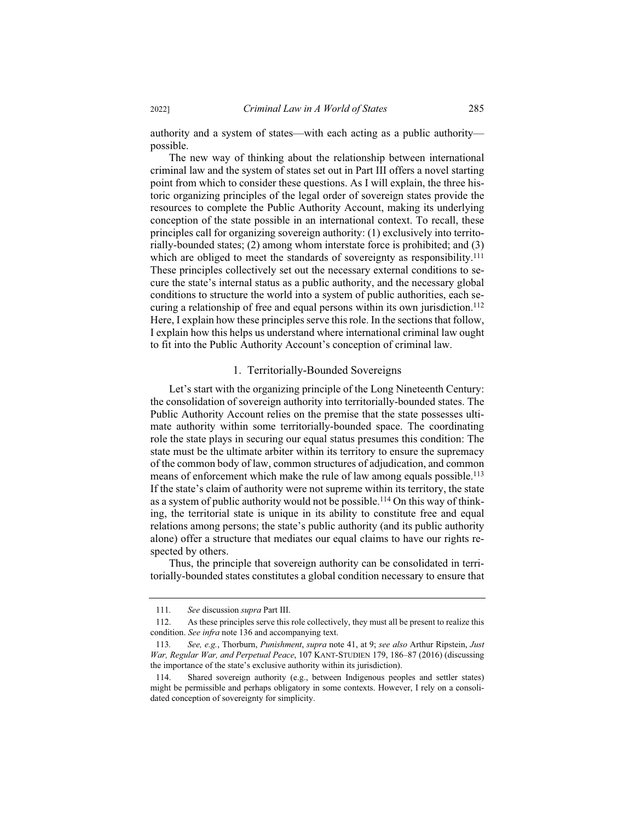authority and a system of states—with each acting as a public authority possible.

The new way of thinking about the relationship between international criminal law and the system of states set out in Part III offers a novel starting point from which to consider these questions. As I will explain, the three historic organizing principles of the legal order of sovereign states provide the resources to complete the Public Authority Account, making its underlying conception of the state possible in an international context. To recall, these principles call for organizing sovereign authority: (1) exclusively into territorially-bounded states; (2) among whom interstate force is prohibited; and (3) which are obliged to meet the standards of sovereignty as responsibility.<sup>111</sup> These principles collectively set out the necessary external conditions to secure the state's internal status as a public authority, and the necessary global conditions to structure the world into a system of public authorities, each securing a relationship of free and equal persons within its own jurisdiction.<sup>112</sup> Here, I explain how these principles serve this role. In the sections that follow, I explain how this helps us understand where international criminal law ought to fit into the Public Authority Account's conception of criminal law.

#### 1. Territorially-Bounded Sovereigns

Let's start with the organizing principle of the Long Nineteenth Century: the consolidation of sovereign authority into territorially-bounded states. The Public Authority Account relies on the premise that the state possesses ultimate authority within some territorially-bounded space. The coordinating role the state plays in securing our equal status presumes this condition: The state must be the ultimate arbiter within its territory to ensure the supremacy of the common body of law, common structures of adjudication, and common means of enforcement which make the rule of law among equals possible.<sup>113</sup> If the state's claim of authority were not supreme within its territory, the state as a system of public authority would not be possible.<sup>114</sup> On this way of thinking, the territorial state is unique in its ability to constitute free and equal relations among persons; the state's public authority (and its public authority alone) offer a structure that mediates our equal claims to have our rights respected by others.

Thus, the principle that sovereign authority can be consolidated in territorially-bounded states constitutes a global condition necessary to ensure that

<sup>111.</sup> See discussion supra Part III.

<sup>112</sup> As these principles serve this role collectively, they must all be present to realize this condition. See infra note 136 and accompanying text.

See, e.g., Thorburn, Punishment, supra note 41, at 9; see also Arthur Ripstein, Just 113 War, Regular War, and Perpetual Peace, 107 KANT-STUDIEN 179, 186-87 (2016) (discussing the importance of the state's exclusive authority within its jurisdiction).

 $114$ Shared sovereign authority (e.g., between Indigenous peoples and settler states) might be permissible and perhaps obligatory in some contexts. However, I rely on a consolidated conception of sovereignty for simplicity.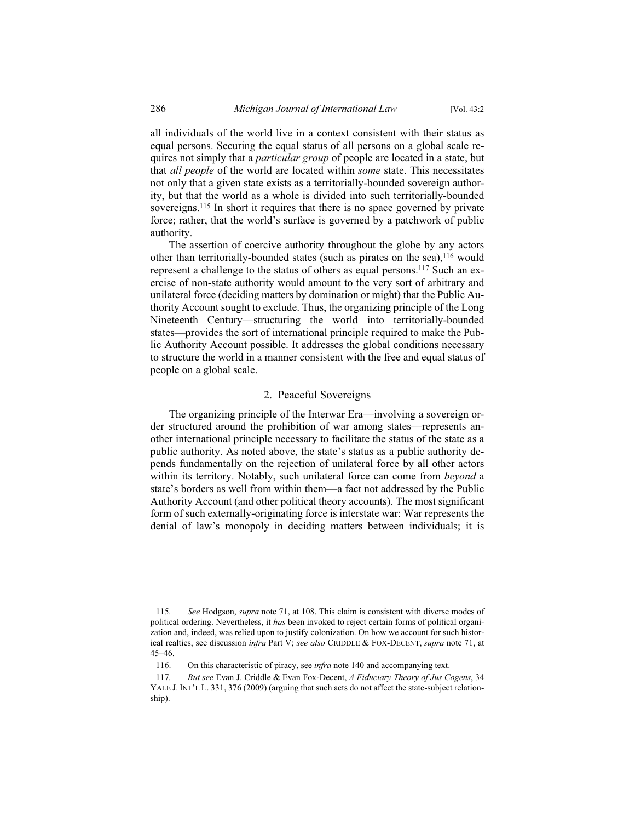all individuals of the world live in a context consistent with their status as equal persons. Securing the equal status of all persons on a global scale requires not simply that a *particular group* of people are located in a state, but that all people of the world are located within some state. This necessitates not only that a given state exists as a territorially-bounded sovereign authority, but that the world as a whole is divided into such territorially-bounded sovereigns.<sup>115</sup> In short it requires that there is no space governed by private force; rather, that the world's surface is governed by a patchwork of public authority.

The assertion of coercive authority throughout the globe by any actors other than territorially-bounded states (such as pirates on the sea),<sup>116</sup> would represent a challenge to the status of others as equal persons.<sup>117</sup> Such an exercise of non-state authority would amount to the very sort of arbitrary and unilateral force (deciding matters by domination or might) that the Public Authority Account sought to exclude. Thus, the organizing principle of the Long Nineteenth Century—structuring the world into territorially-bounded states—provides the sort of international principle required to make the Public Authority Account possible. It addresses the global conditions necessary to structure the world in a manner consistent with the free and equal status of people on a global scale.

# 2. Peaceful Sovereigns

The organizing principle of the Interwar Era—involving a sovereign order structured around the prohibition of war among states—represents another international principle necessary to facilitate the status of the state as a public authority. As noted above, the state's status as a public authority depends fundamentally on the rejection of unilateral force by all other actors within its territory. Notably, such unilateral force can come from *beyond* a state's borders as well from within them—a fact not addressed by the Public Authority Account (and other political theory accounts). The most significant form of such externally-originating force is interstate war: War represents the denial of law's monopoly in deciding matters between individuals; it is

286

<sup>115.</sup> See Hodgson, *supra* note 71, at 108. This claim is consistent with diverse modes of political ordering. Nevertheless, it has been invoked to reject certain forms of political organization and, indeed, was relied upon to justify colonization. On how we account for such historical realties, see discussion *infra* Part V; see also CRIDDLE & FOX-DECENT, supra note 71, at  $45 - 46.$ 

<sup>116.</sup> On this characteristic of piracy, see *infra* note 140 and accompanying text.

<sup>117</sup> But see Evan J. Criddle & Evan Fox-Decent, A Fiduciary Theory of Jus Cogens, 34 YALE J. INT'L L. 331, 376 (2009) (arguing that such acts do not affect the state-subject relationship).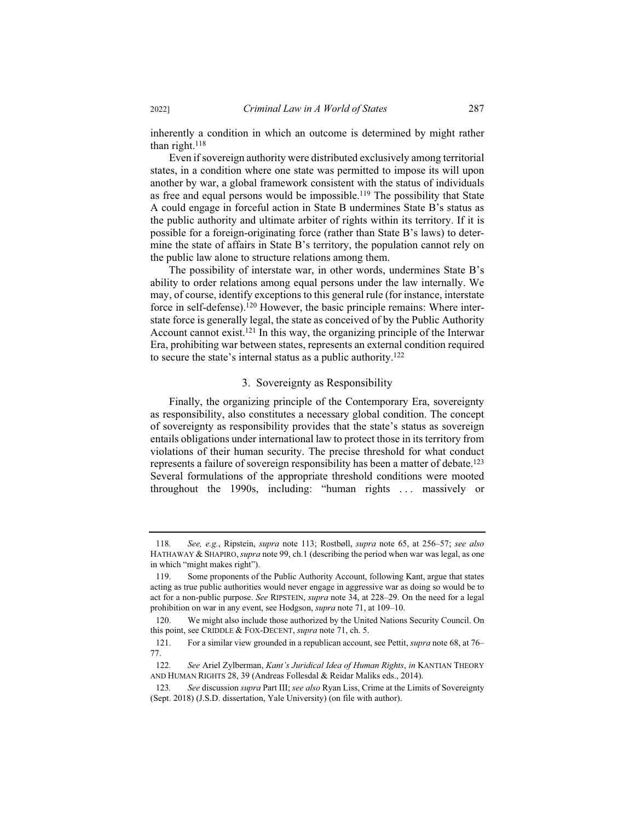inherently a condition in which an outcome is determined by might rather than right. $118$ 

Even if sovereign authority were distributed exclusively among territorial states, in a condition where one state was permitted to impose its will upon another by war, a global framework consistent with the status of individuals as free and equal persons would be impossible.<sup>119</sup> The possibility that State A could engage in forceful action in State B undermines State B's status as the public authority and ultimate arbiter of rights within its territory. If it is possible for a foreign-originating force (rather than State B's laws) to determine the state of affairs in State B's territory, the population cannot rely on the public law alone to structure relations among them.

The possibility of interstate war, in other words, undermines State B's ability to order relations among equal persons under the law internally. We may, of course, identify exceptions to this general rule (for instance, interstate force in self-defense).<sup>120</sup> However, the basic principle remains: Where interstate force is generally legal, the state as conceived of by the Public Authority Account cannot exist.<sup>121</sup> In this way, the organizing principle of the Interwar Era, prohibiting war between states, represents an external condition required to secure the state's internal status as a public authority.<sup>122</sup>

# 3. Sovereignty as Responsibility

Finally, the organizing principle of the Contemporary Era, sovereignty as responsibility, also constitutes a necessary global condition. The concept of sovereignty as responsibility provides that the state's status as sovereign entails obligations under international law to protect those in its territory from violations of their human security. The precise threshold for what conduct represents a failure of sovereign responsibility has been a matter of debate.<sup>123</sup> Several formulations of the appropriate threshold conditions were mooted throughout the 1990s, including: "human rights ... massively or

See, e.g., Ripstein, supra note 113; Rostbøll, supra note 65, at 256-57; see also 118. HATHAWAY & SHAPIRO, supra note 99, ch.1 (describing the period when war was legal, as one in which "might makes right").

<sup>119</sup> Some proponents of the Public Authority Account, following Kant, argue that states acting as true public authorities would never engage in aggressive war as doing so would be to act for a non-public purpose. See RIPSTEIN, supra note 34, at 228–29. On the need for a legal prohibition on war in any event, see Hodgson, *supra* note 71, at 109–10.

We might also include those authorized by the United Nations Security Council. On  $120$ this point, see CRIDDLE & FOX-DECENT, *supra* note 71, ch. 5.

 $121$ For a similar view grounded in a republican account, see Pettit, *supra* note 68, at 76– 77.

<sup>122</sup> See Ariel Zylberman, Kant's Juridical Idea of Human Rights, in KANTIAN THEORY AND HUMAN RIGHTS 28, 39 (Andreas Follesdal & Reidar Maliks eds., 2014).

<sup>123.</sup> See discussion *supra* Part III; see also Ryan Liss, Crime at the Limits of Sovereignty (Sept. 2018) (J.S.D. dissertation, Yale University) (on file with author).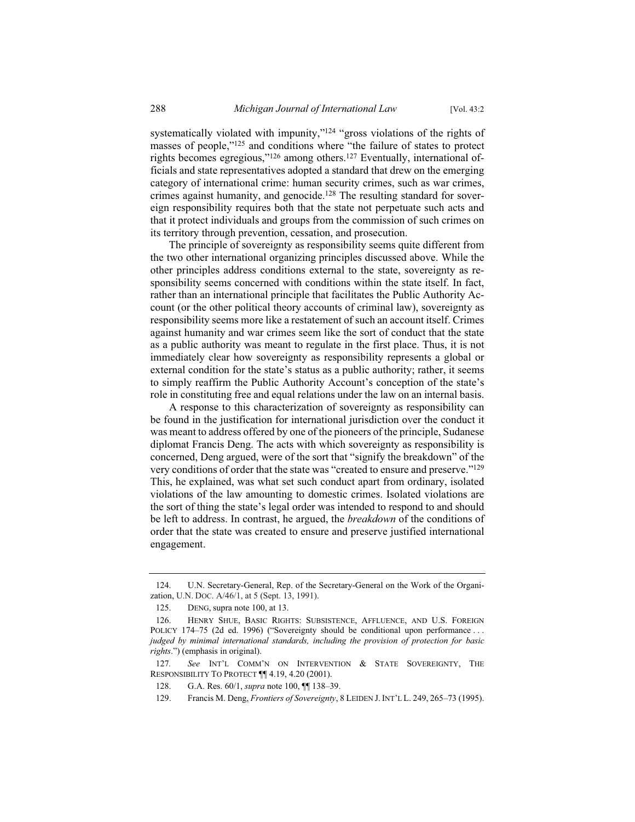systematically violated with impunity,"<sup>124</sup> "gross violations of the rights of masses of people,"<sup>125</sup> and conditions where "the failure of states to protect rights becomes egregious,"126 among others.<sup>127</sup> Eventually, international officials and state representatives adopted a standard that drew on the emerging category of international crime: human security crimes, such as war crimes, crimes against humanity, and genocide.<sup>128</sup> The resulting standard for sovereign responsibility requires both that the state not perpetuate such acts and that it protect individuals and groups from the commission of such crimes on its territory through prevention, cessation, and prosecution.

The principle of sovereignty as responsibility seems quite different from the two other international organizing principles discussed above. While the other principles address conditions external to the state, sovereignty as responsibility seems concerned with conditions within the state itself. In fact, rather than an international principle that facilitates the Public Authority Account (or the other political theory accounts of criminal law), sovereignty as responsibility seems more like a restatement of such an account itself. Crimes against humanity and war crimes seem like the sort of conduct that the state as a public authority was meant to regulate in the first place. Thus, it is not immediately clear how sovereignty as responsibility represents a global or external condition for the state's status as a public authority; rather, it seems to simply reaffirm the Public Authority Account's conception of the state's role in constituting free and equal relations under the law on an internal basis.

A response to this characterization of sovereignty as responsibility can be found in the justification for international jurisdiction over the conduct it was meant to address offered by one of the pioneers of the principle, Sudanese diplomat Francis Deng. The acts with which sovereignty as responsibility is concerned, Deng argued, were of the sort that "signify the breakdown" of the very conditions of order that the state was "created to ensure and preserve."<sup>129</sup> This, he explained, was what set such conduct apart from ordinary, isolated violations of the law amounting to domestic crimes. Isolated violations are the sort of thing the state's legal order was intended to respond to and should be left to address. In contrast, he argued, the *breakdown* of the conditions of order that the state was created to ensure and preserve justified international engagement.

<sup>124.</sup> U.N. Secretary-General, Rep. of the Secretary-General on the Work of the Organization, U.N. Doc. A/46/1, at 5 (Sept. 13, 1991).

<sup>125.</sup> DENG, supra note 100, at 13.

<sup>126.</sup> HENRY SHUE, BASIC RIGHTS: SUBSISTENCE, AFFLUENCE, AND U.S. FOREIGN POLICY 174–75 (2d ed. 1996) ("Sovereignty should be conditional upon performance... judged by minimal international standards, including the provision of protection for basic *rights.*") (emphasis in original).

<sup>127.</sup> See INT'L COMM'N ON INTERVENTION & STATE SOVEREIGNTY, THE RESPONSIBILITY TO PROTECT TT 4.19, 4.20 (2001).

<sup>128.</sup> G.A. Res. 60/1, *supra* note 100,  $\P$  138-39.

<sup>129.</sup> Francis M. Deng, Frontiers of Sovereignty, 8 LEIDEN J. INT'L L. 249, 265-73 (1995).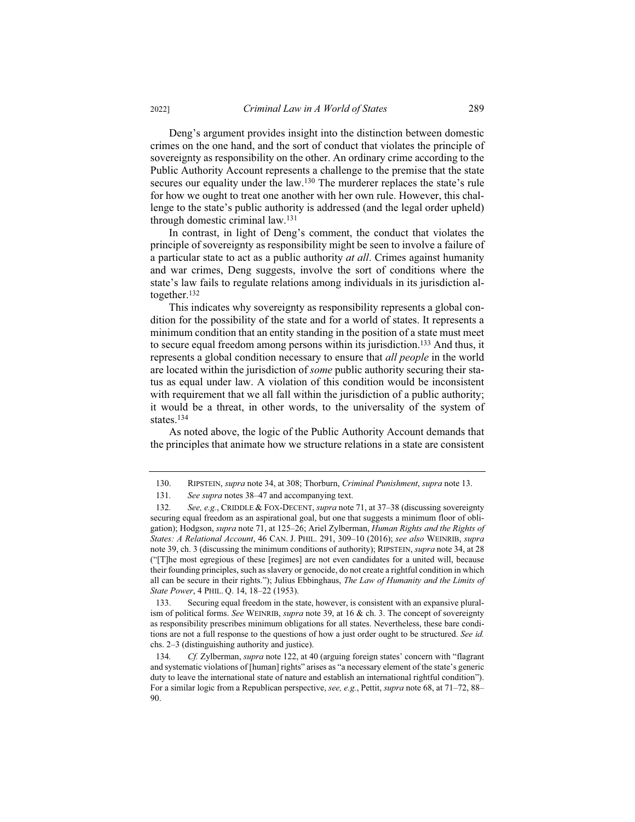Deng's argument provides insight into the distinction between domestic crimes on the one hand, and the sort of conduct that violates the principle of sovereignty as responsibility on the other. An ordinary crime according to the Public Authority Account represents a challenge to the premise that the state secures our equality under the law.<sup>130</sup> The murderer replaces the state's rule for how we ought to treat one another with her own rule. However, this challenge to the state's public authority is addressed (and the legal order upheld) through domestic criminal law.<sup>131</sup>

In contrast, in light of Deng's comment, the conduct that violates the principle of sovereignty as responsibility might be seen to involve a failure of a particular state to act as a public authority *at all*. Crimes against humanity and war crimes, Deng suggests, involve the sort of conditions where the state's law fails to regulate relations among individuals in its jurisdiction altogether. $132$ 

This indicates why sovereignty as responsibility represents a global condition for the possibility of the state and for a world of states. It represents a minimum condition that an entity standing in the position of a state must meet to secure equal freedom among persons within its jurisdiction.<sup>133</sup> And thus, it represents a global condition necessary to ensure that *all people* in the world are located within the jurisdiction of some public authority securing their status as equal under law. A violation of this condition would be inconsistent with requirement that we all fall within the jurisdiction of a public authority; it would be a threat, in other words, to the universality of the system of states. $134$ 

As noted above, the logic of the Public Authority Account demands that the principles that animate how we structure relations in a state are consistent

<sup>130.</sup> RIPSTEIN, supra note 34, at 308; Thorburn, Criminal Punishment, supra note 13.

<sup>131.</sup> See supra notes 38-47 and accompanying text.

See, e.g., CRIDDLE & FOX-DECENT, supra note 71, at 37-38 (discussing sovereignty 132 securing equal freedom as an aspirational goal, but one that suggests a minimum floor of obligation); Hodgson, *supra* note 71, at 125–26; Ariel Zylberman, *Human Rights and the Rights of* States: A Relational Account, 46 CAN. J. PHIL. 291, 309-10 (2016); see also WEINRIB, supra note 39, ch. 3 (discussing the minimum conditions of authority); RIPSTEIN, *supra* note 34, at 28 ("[T]he most egregious of these [regimes] are not even candidates for a united will, because their founding principles, such as slavery or genocide, do not create a rightful condition in which all can be secure in their rights."); Julius Ebbinghaus, The Law of Humanity and the Limits of State Power, 4 PHIL. Q. 14, 18-22 (1953).

Securing equal freedom in the state, however, is consistent with an expansive plural- $133$ ism of political forms. See WEINRIB, supra note 39, at 16 & ch. 3. The concept of sovereignty as responsibility prescribes minimum obligations for all states. Nevertheless, these bare conditions are not a full response to the questions of how a just order ought to be structured. See id. chs. 2-3 (distinguishing authority and justice).

<sup>134.</sup> Cf. Zylberman, *supra* note 122, at 40 (arguing foreign states' concern with "flagrant and systematic violations of [human] rights" arises as "a necessary element of the state's generic duty to leave the international state of nature and establish an international rightful condition"). For a similar logic from a Republican perspective, see, e.g., Pettit, *supra* note 68, at 71–72, 88– 90.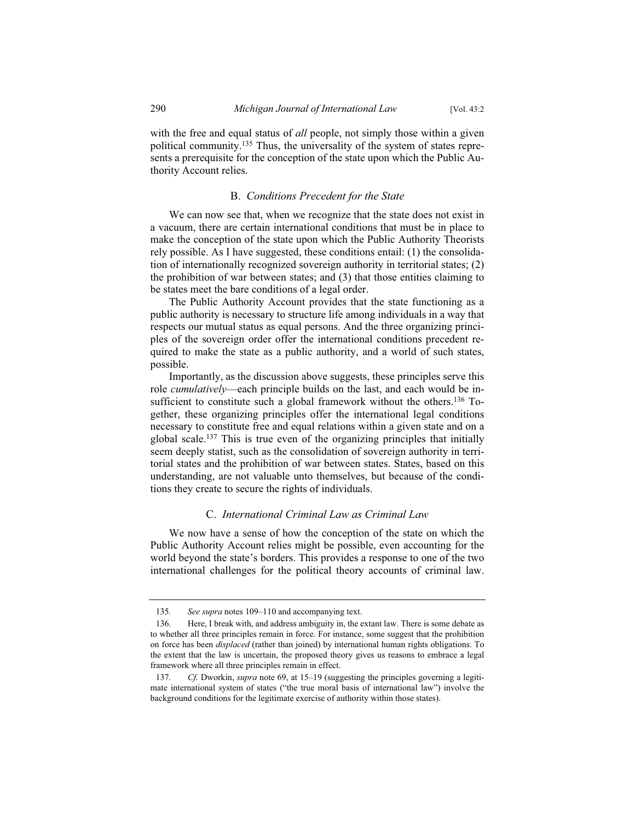with the free and equal status of *all* people, not simply those within a given political community.<sup>135</sup> Thus, the universality of the system of states represents a prerequisite for the conception of the state upon which the Public Authority Account relies.

# **B.** Conditions Precedent for the State

We can now see that, when we recognize that the state does not exist in a vacuum, there are certain international conditions that must be in place to make the conception of the state upon which the Public Authority Theorists rely possible. As I have suggested, these conditions entail: (1) the consolidation of internationally recognized sovereign authority in territorial states; (2) the prohibition of war between states; and (3) that those entities claiming to be states meet the bare conditions of a legal order.

The Public Authority Account provides that the state functioning as a public authority is necessary to structure life among individuals in a way that respects our mutual status as equal persons. And the three organizing principles of the sovereign order offer the international conditions precedent required to make the state as a public authority, and a world of such states, possible.

Importantly, as the discussion above suggests, these principles serve this role *cumulatively*—each principle builds on the last, and each would be insufficient to constitute such a global framework without the others.<sup>136</sup> Together, these organizing principles offer the international legal conditions necessary to constitute free and equal relations within a given state and on a global scale.<sup>137</sup> This is true even of the organizing principles that initially seem deeply statist, such as the consolidation of sovereign authority in territorial states and the prohibition of war between states. States, based on this understanding, are not valuable unto themselves, but because of the conditions they create to secure the rights of individuals.

# C. International Criminal Law as Criminal Law

We now have a sense of how the conception of the state on which the Public Authority Account relies might be possible, even accounting for the world beyond the state's borders. This provides a response to one of the two international challenges for the political theory accounts of criminal law.

<sup>135.</sup> See supra notes 109-110 and accompanying text.

Here, I break with, and address ambiguity in, the extant law. There is some debate as 136. to whether all three principles remain in force. For instance, some suggest that the prohibition on force has been *displaced* (rather than joined) by international human rights obligations. To the extent that the law is uncertain, the proposed theory gives us reasons to embrace a legal framework where all three principles remain in effect.

<sup>137</sup> Cf. Dworkin, *supra* note 69, at 15-19 (suggesting the principles governing a legitimate international system of states ("the true moral basis of international law") involve the background conditions for the legitimate exercise of authority within those states).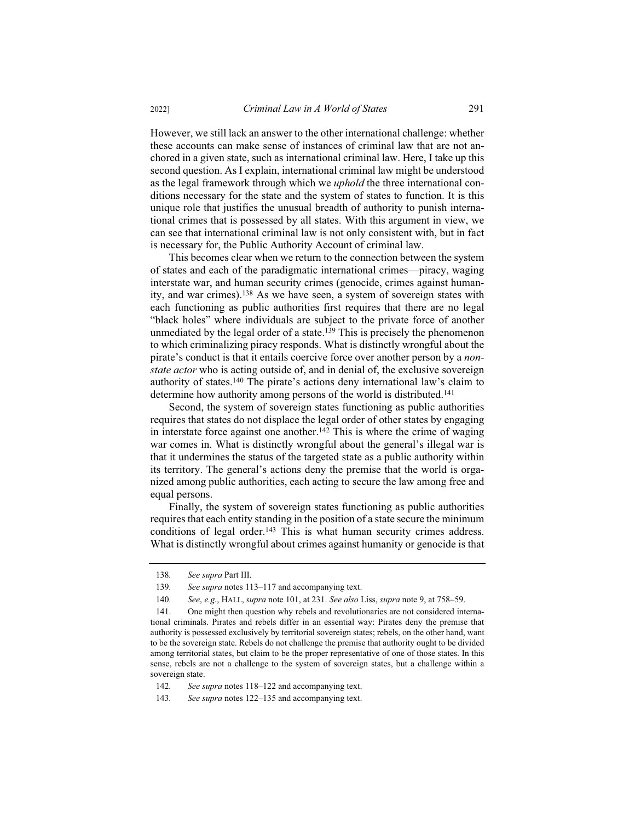However, we still lack an answer to the other international challenge: whether these accounts can make sense of instances of criminal law that are not anchored in a given state, such as international criminal law. Here, I take up this second question. As I explain, international criminal law might be understood as the legal framework through which we *uphold* the three international conditions necessary for the state and the system of states to function. It is this unique role that justifies the unusual breadth of authority to punish international crimes that is possessed by all states. With this argument in view, we can see that international criminal law is not only consistent with, but in fact is necessary for, the Public Authority Account of criminal law.

This becomes clear when we return to the connection between the system of states and each of the paradigmatic international crimes—piracy, waging interstate war, and human security crimes (genocide, crimes against humanity, and war crimes).<sup>138</sup> As we have seen, a system of sovereign states with each functioning as public authorities first requires that there are no legal "black holes" where individuals are subject to the private force of another unmediated by the legal order of a state.<sup>139</sup> This is precisely the phenomenon to which criminalizing piracy responds. What is distinctly wrongful about the pirate's conduct is that it entails coercive force over another person by a *non*state actor who is acting outside of, and in denial of, the exclusive sovereign authority of states.<sup>140</sup> The pirate's actions deny international law's claim to determine how authority among persons of the world is distributed.<sup>141</sup>

Second, the system of sovereign states functioning as public authorities requires that states do not displace the legal order of other states by engaging in interstate force against one another.<sup>142</sup> This is where the crime of waging war comes in. What is distinctly wrongful about the general's illegal war is that it undermines the status of the targeted state as a public authority within its territory. The general's actions deny the premise that the world is organized among public authorities, each acting to secure the law among free and equal persons.

Finally, the system of sovereign states functioning as public authorities requires that each entity standing in the position of a state secure the minimum conditions of legal order.<sup>143</sup> This is what human security crimes address. What is distinctly wrongful about crimes against humanity or genocide is that

<sup>138.</sup> See supra Part III.

<sup>139.</sup> See supra notes 113-117 and accompanying text.

<sup>140.</sup> See, e.g., HALL, supra note 101, at 231. See also Liss, supra note 9, at 758-59.

<sup>141</sup> One might then question why rebels and revolutionaries are not considered international criminals. Pirates and rebels differ in an essential way: Pirates deny the premise that authority is possessed exclusively by territorial sovereign states; rebels, on the other hand, want to be the sovereign state. Rebels do not challenge the premise that authority ought to be divided among territorial states, but claim to be the proper representative of one of those states. In this sense, rebels are not a challenge to the system of sovereign states, but a challenge within a sovereign state.

<sup>142.</sup> See supra notes 118-122 and accompanying text.

<sup>143.</sup> See supra notes 122-135 and accompanying text.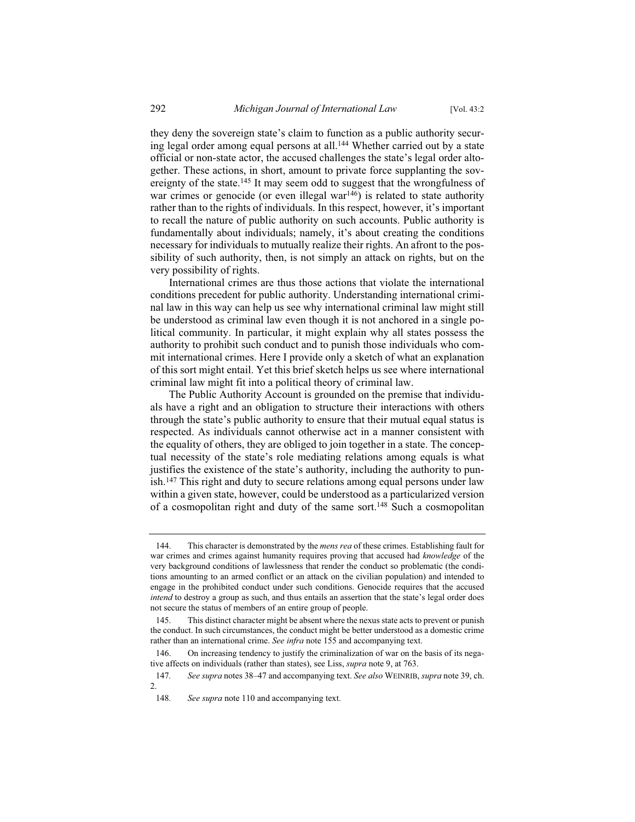they deny the sovereign state's claim to function as a public authority securing legal order among equal persons at all.<sup>144</sup> Whether carried out by a state official or non-state actor, the accused challenges the state's legal order altogether. These actions, in short, amount to private force supplanting the sovereignty of the state.<sup>145</sup> It may seem odd to suggest that the wrongfulness of war crimes or genocide (or even illegal war $146$ ) is related to state authority rather than to the rights of individuals. In this respect, however, it's important to recall the nature of public authority on such accounts. Public authority is fundamentally about individuals; namely, it's about creating the conditions necessary for individuals to mutually realize their rights. An afront to the possibility of such authority, then, is not simply an attack on rights, but on the very possibility of rights.

International crimes are thus those actions that violate the international conditions precedent for public authority. Understanding international criminal law in this way can help us see why international criminal law might still be understood as criminal law even though it is not anchored in a single political community. In particular, it might explain why all states possess the authority to prohibit such conduct and to punish those individuals who commit international crimes. Here I provide only a sketch of what an explanation of this sort might entail. Yet this brief sketch helps us see where international criminal law might fit into a political theory of criminal law.

The Public Authority Account is grounded on the premise that individuals have a right and an obligation to structure their interactions with others through the state's public authority to ensure that their mutual equal status is respected. As individuals cannot otherwise act in a manner consistent with the equality of others, they are obliged to join together in a state. The conceptual necessity of the state's role mediating relations among equals is what justifies the existence of the state's authority, including the authority to punish.<sup>147</sup> This right and duty to secure relations among equal persons under law within a given state, however, could be understood as a particularized version of a cosmopolitan right and duty of the same sort.<sup>148</sup> Such a cosmopolitan

<sup>144.</sup> This character is demonstrated by the *mens rea* of these crimes. Establishing fault for war crimes and crimes against humanity requires proving that accused had knowledge of the very background conditions of lawlessness that render the conduct so problematic (the conditions amounting to an armed conflict or an attack on the civilian population) and intended to engage in the prohibited conduct under such conditions. Genocide requires that the accused *intend* to destroy a group as such, and thus entails an assertion that the state's legal order does not secure the status of members of an entire group of people.

This distinct character might be absent where the nexus state acts to prevent or punish 145 the conduct. In such circumstances, the conduct might be better understood as a domestic crime rather than an international crime. See infra note 155 and accompanying text.

On increasing tendency to justify the criminalization of war on the basis of its nega-146. tive affects on individuals (rather than states), see Liss, supra note 9, at 763.

<sup>147.</sup> See supra notes 38–47 and accompanying text. See also WEINRIB, supra note 39, ch.  $\overline{2}$ .

<sup>148.</sup> See supra note 110 and accompanying text.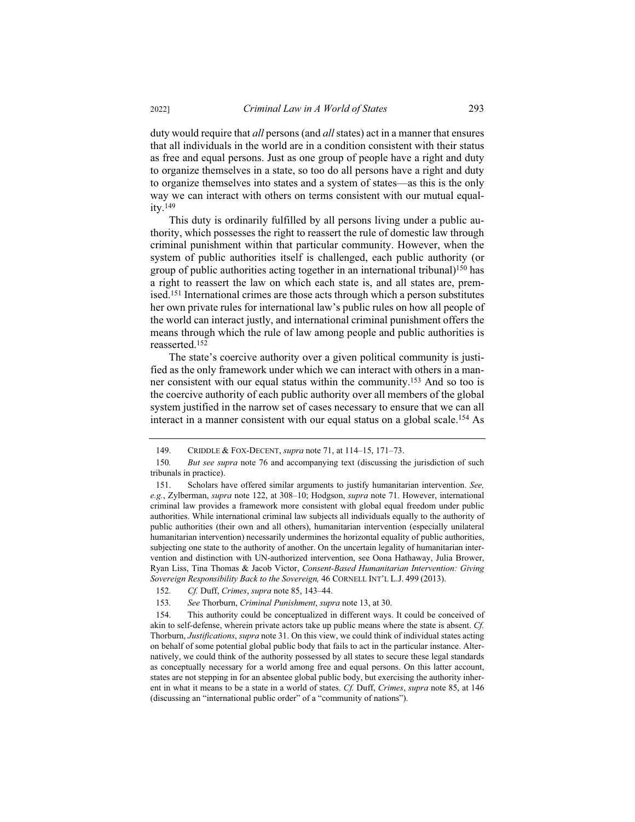duty would require that *all* persons (and *all* states) act in a manner that ensures that all individuals in the world are in a condition consistent with their status as free and equal persons. Just as one group of people have a right and duty to organize themselves in a state, so too do all persons have a right and duty to organize themselves into states and a system of states—as this is the only way we can interact with others on terms consistent with our mutual equality. $149$ 

This duty is ordinarily fulfilled by all persons living under a public authority, which possesses the right to reassert the rule of domestic law through criminal punishment within that particular community. However, when the system of public authorities itself is challenged, each public authority (or group of public authorities acting together in an international tribunal)<sup>150</sup> has a right to reassert the law on which each state is, and all states are, premised.<sup>151</sup> International crimes are those acts through which a person substitutes her own private rules for international law's public rules on how all people of the world can interact justly, and international criminal punishment offers the means through which the rule of law among people and public authorities is reasserted.<sup>152</sup>

The state's coercive authority over a given political community is justified as the only framework under which we can interact with others in a manner consistent with our equal status within the community.<sup>153</sup> And so too is the coercive authority of each public authority over all members of the global system justified in the narrow set of cases necessary to ensure that we can all interact in a manner consistent with our equal status on a global scale.<sup>154</sup> As

<sup>149.</sup> CRIDDLE & FOX-DECENT, *supra* note 71, at 114–15, 171–73.

<sup>150.</sup> *But see supra* note 76 and accompanying text (discussing the jurisdiction of such tribunals in practice).

<sup>151.</sup> Scholars have offered similar arguments to justify humanitarian intervention. See, *e.g.*, Zylberman, *supra* note 122, at 308-10; Hodgson, *supra* note 71. However, international criminal law provides a framework more consistent with global equal freedom under public authorities. While international criminal law subjects all individuals equally to the authority of public authorities (their own and all others), humanitarian intervention (especially unilateral humanitarian intervention) necessarily undermines the horizontal equality of public authorities, subjecting one state to the authority of another. On the uncertain legality of humanitarian intervention and distinction with UN-authorized intervention, see Oona Hathaway, Julia Brower, Ryan Liss, Tina Thomas & Jacob Victor, Consent-Based Humanitarian Intervention: Giving *Sovereign Responsibility Back to the Sovereign,* 46 CORNELL INT'L L.J. 499 (2013).

<sup>152.</sup> Cf. Duff, Crimes, supra note 85, 143-44.

<sup>153.</sup> See Thorburn, Criminal Punishment, supra note 13, at 30.

<sup>154.</sup> This authority could be conceptualized in different ways. It could be conceived of akin to self-defense, wherein private actors take up public means where the state is absent. Cf. Thorburn, *Justifications*, *supra* note 31. On this view, we could think of individual states acting on behalf of some potential global public body that fails to act in the particular instance. Alternatively, we could think of the authority possessed by all states to secure these legal standards as conceptually necessary for a world among free and equal persons. On this latter account, states are not stepping in for an absentee global public body, but exercising the authority inherent in what it means to be a state in a world of states. Cf. Duff, Crimes, supra note 85, at 146 (discussing an "international public order" of a "community of nations").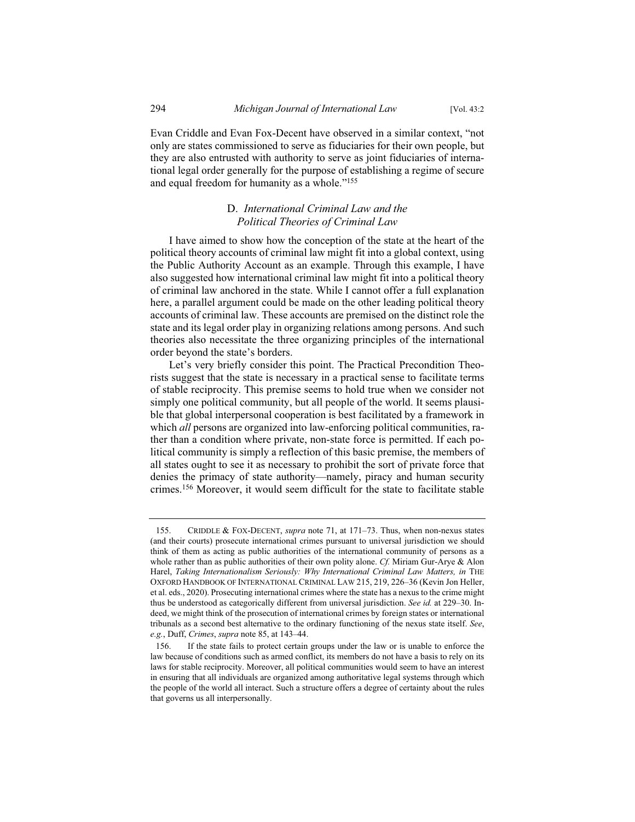Evan Criddle and Evan Fox-Decent have observed in a similar context, "not only are states commissioned to serve as fiduciaries for their own people, but they are also entrusted with authority to serve as joint fiduciaries of international legal order generally for the purpose of establishing a regime of secure and equal freedom for humanity as a whole."<sup>155</sup>

# D. International Criminal Law and the Political Theories of Criminal Law

I have aimed to show how the conception of the state at the heart of the political theory accounts of criminal law might fit into a global context, using the Public Authority Account as an example. Through this example, I have also suggested how international criminal law might fit into a political theory of criminal law anchored in the state. While I cannot offer a full explanation here, a parallel argument could be made on the other leading political theory accounts of criminal law. These accounts are premised on the distinct role the state and its legal order play in organizing relations among persons. And such theories also necessitate the three organizing principles of the international order beyond the state's borders.

Let's very briefly consider this point. The Practical Precondition Theorists suggest that the state is necessary in a practical sense to facilitate terms of stable reciprocity. This premise seems to hold true when we consider not simply one political community, but all people of the world. It seems plausible that global interpersonal cooperation is best facilitated by a framework in which *all* persons are organized into law-enforcing political communities, rather than a condition where private, non-state force is permitted. If each political community is simply a reflection of this basic premise, the members of all states ought to see it as necessary to prohibit the sort of private force that denies the primacy of state authority-namely, piracy and human security crimes.<sup>156</sup> Moreover, it would seem difficult for the state to facilitate stable

<sup>155.</sup> CRIDDLE & FOX-DECENT, supra note 71, at 171-73. Thus, when non-nexus states (and their courts) prosecute international crimes pursuant to universal jurisdiction we should think of them as acting as public authorities of the international community of persons as a whole rather than as public authorities of their own polity alone. Cf. Miriam Gur-Arye & Alon Harel, Taking Internationalism Seriously: Why International Criminal Law Matters, in THE OXFORD HANDBOOK OF INTERNATIONAL CRIMINAL LAW 215, 219, 226-36 (Kevin Jon Heller, et al. eds., 2020). Prosecuting international crimes where the state has a nexus to the crime might thus be understood as categorically different from universal jurisdiction. See id. at 229–30. Indeed, we might think of the prosecution of international crimes by foreign states or international tribunals as a second best alternative to the ordinary functioning of the nexus state itself. See, e.g., Duff, Crimes, supra note 85, at 143-44.

<sup>156.</sup> If the state fails to protect certain groups under the law or is unable to enforce the law because of conditions such as armed conflict, its members do not have a basis to rely on its laws for stable reciprocity. Moreover, all political communities would seem to have an interest in ensuring that all individuals are organized among authoritative legal systems through which the people of the world all interact. Such a structure offers a degree of certainty about the rules that governs us all interpersonally.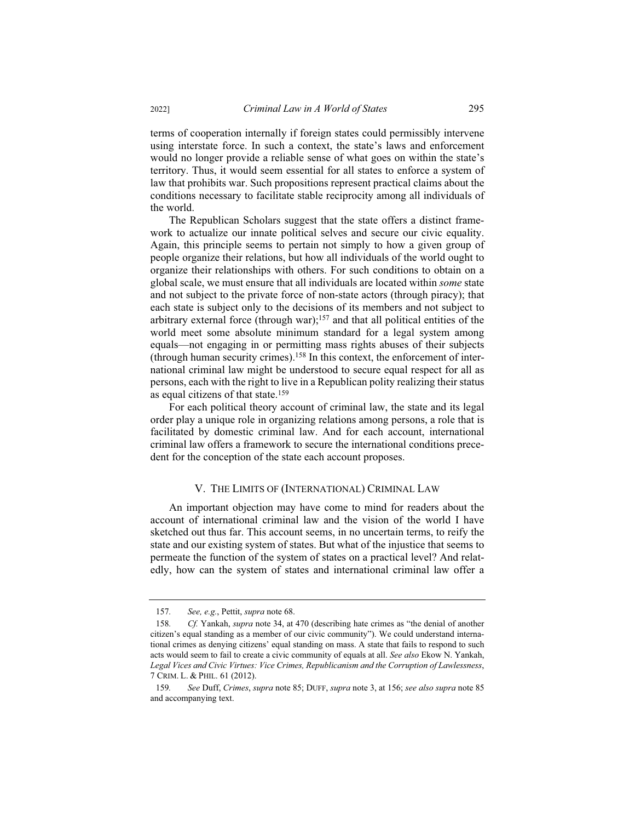terms of cooperation internally if foreign states could permissibly intervene using interstate force. In such a context, the state's laws and enforcement would no longer provide a reliable sense of what goes on within the state's territory. Thus, it would seem essential for all states to enforce a system of law that prohibits war. Such propositions represent practical claims about the conditions necessary to facilitate stable reciprocity among all individuals of the world.

The Republican Scholars suggest that the state offers a distinct framework to actualize our innate political selves and secure our civic equality. Again, this principle seems to pertain not simply to how a given group of people organize their relations, but how all individuals of the world ought to organize their relationships with others. For such conditions to obtain on a global scale, we must ensure that all individuals are located within some state and not subject to the private force of non-state actors (through piracy); that each state is subject only to the decisions of its members and not subject to arbitrary external force (through war);<sup>157</sup> and that all political entities of the world meet some absolute minimum standard for a legal system among equals—not engaging in or permitting mass rights abuses of their subjects (through human security crimes).<sup>158</sup> In this context, the enforcement of international criminal law might be understood to secure equal respect for all as persons, each with the right to live in a Republican polity realizing their status as equal citizens of that state.<sup>159</sup>

For each political theory account of criminal law, the state and its legal order play a unique role in organizing relations among persons, a role that is facilitated by domestic criminal law. And for each account, international criminal law offers a framework to secure the international conditions precedent for the conception of the state each account proposes.

#### V. THE LIMITS OF (INTERNATIONAL) CRIMINAL LAW

An important objection may have come to mind for readers about the account of international criminal law and the vision of the world I have sketched out thus far. This account seems, in no uncertain terms, to reify the state and our existing system of states. But what of the injustice that seems to permeate the function of the system of states on a practical level? And relatedly, how can the system of states and international criminal law offer a

<sup>157.</sup> See, e.g., Pettit, supra note 68.

<sup>158.</sup> Cf. Yankah, *supra* note 34, at 470 (describing hate crimes as "the denial of another citizen's equal standing as a member of our civic community"). We could understand international crimes as denying citizens' equal standing on mass. A state that fails to respond to such acts would seem to fail to create a civic community of equals at all. See also Ekow N. Yankah, Legal Vices and Civic Virtues: Vice Crimes, Republicanism and the Corruption of Lawlessness, 7 CRIM. L. & PHIL. 61 (2012).

<sup>159</sup> See Duff, Crimes, supra note 85; DUFF, supra note 3, at 156; see also supra note 85 and accompanying text.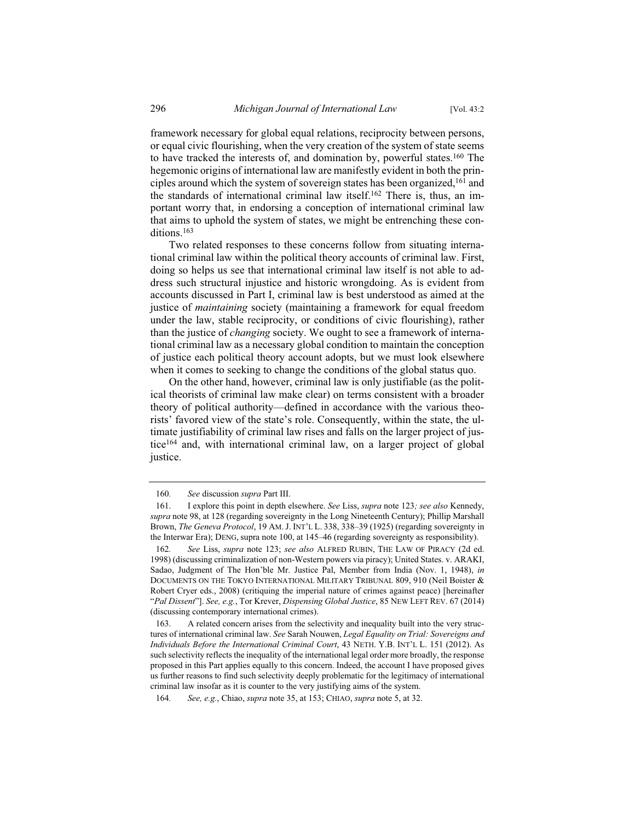framework necessary for global equal relations, reciprocity between persons, or equal civic flourishing, when the very creation of the system of state seems to have tracked the interests of, and domination by, powerful states.<sup>160</sup> The hegemonic origins of international law are manifestly evident in both the principles around which the system of sovereign states has been organized,  $161$  and the standards of international criminal law itself.<sup>162</sup> There is, thus, an important worry that, in endorsing a conception of international criminal law that aims to uphold the system of states, we might be entrenching these conditions.<sup>163</sup>

Two related responses to these concerns follow from situating international criminal law within the political theory accounts of criminal law. First, doing so helps us see that international criminal law itself is not able to address such structural injustice and historic wrongdoing. As is evident from accounts discussed in Part I, criminal law is best understood as aimed at the justice of *maintaining* society (maintaining a framework for equal freedom under the law, stable reciprocity, or conditions of civic flourishing), rather than the justice of *changing* society. We ought to see a framework of international criminal law as a necessary global condition to maintain the conception of justice each political theory account adopts, but we must look elsewhere when it comes to seeking to change the conditions of the global status quo.

On the other hand, however, criminal law is only justifiable (as the political theorists of criminal law make clear) on terms consistent with a broader theory of political authority—defined in accordance with the various theorists' favored view of the state's role. Consequently, within the state, the ultimate justifiability of criminal law rises and falls on the larger project of justice<sup>164</sup> and, with international criminal law, on a larger project of global justice.

<sup>160.</sup> See discussion supra Part III.

<sup>161.</sup> I explore this point in depth elsewhere. See Liss, *supra* note 123; see also Kennedy, supra note 98, at 128 (regarding sovereignty in the Long Nineteenth Century); Phillip Marshall Brown, The Geneva Protocol, 19 AM. J. INT'L L. 338, 338-39 (1925) (regarding sovereignty in the Interwar Era); DENG, supra note 100, at 145-46 (regarding sovereignty as responsibility).

<sup>162.</sup> See Liss, *supra* note 123; see also ALFRED RUBIN, THE LAW OF PIRACY (2d ed. 1998) (discussing criminalization of non-Western powers via piracy); United States. v. ARAKI, Sadao, Judgment of The Hon'ble Mr. Justice Pal, Member from India (Nov. 1, 1948), in DOCUMENTS ON THE TOKYO INTERNATIONAL MILITARY TRIBUNAL 809, 910 (Neil Boister & Robert Cryer eds., 2008) (critiquing the imperial nature of crimes against peace) [hereinafter "Pal Dissent"]. See, e.g., Tor Krever, Dispensing Global Justice, 85 NEW LEFT REV. 67 (2014) (discussing contemporary international crimes).

<sup>163.</sup> A related concern arises from the selectivity and inequality built into the very structures of international criminal law. See Sarah Nouwen, Legal Equality on Trial: Sovereigns and *Individuals Before the International Criminal Court*, 43 NETH. Y.B. INT'L L. 151 (2012). As such selectivity reflects the inequality of the international legal order more broadly, the response proposed in this Part applies equally to this concern. Indeed, the account I have proposed gives us further reasons to find such selectivity deeply problematic for the legitimacy of international criminal law insofar as it is counter to the very justifying aims of the system.

<sup>164.</sup> See, e.g., Chiao, *supra* note 35, at 153; CHIAO, *supra* note 5, at 32.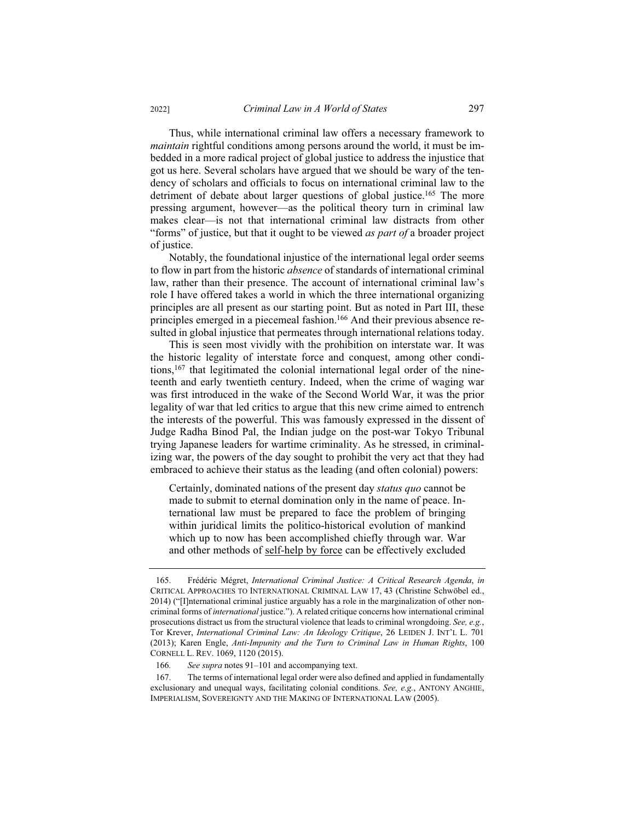Thus, while international criminal law offers a necessary framework to *maintain* rightful conditions among persons around the world, it must be imbedded in a more radical project of global justice to address the injustice that got us here. Several scholars have argued that we should be wary of the tendency of scholars and officials to focus on international criminal law to the detriment of debate about larger questions of global justice.<sup>165</sup> The more pressing argument, however—as the political theory turn in criminal law makes clear—is not that international criminal law distracts from other "forms" of justice, but that it ought to be viewed as part of a broader project of justice.

Notably, the foundational injustice of the international legal order seems to flow in part from the historic *absence* of standards of international criminal law, rather than their presence. The account of international criminal law's role I have offered takes a world in which the three international organizing principles are all present as our starting point. But as noted in Part III, these principles emerged in a piecemeal fashion.<sup>166</sup> And their previous absence resulted in global injustice that permeates through international relations today.

This is seen most vividly with the prohibition on interstate war. It was the historic legality of interstate force and conquest, among other conditions,<sup>167</sup> that legitimated the colonial international legal order of the nineteenth and early twentieth century. Indeed, when the crime of waging war was first introduced in the wake of the Second World War, it was the prior legality of war that led critics to argue that this new crime aimed to entrench the interests of the powerful. This was famously expressed in the dissent of Judge Radha Binod Pal, the Indian judge on the post-war Tokyo Tribunal trying Japanese leaders for wartime criminality. As he stressed, in criminalizing war, the powers of the day sought to prohibit the very act that they had embraced to achieve their status as the leading (and often colonial) powers:

Certainly, dominated nations of the present day *status quo* cannot be made to submit to eternal domination only in the name of peace. International law must be prepared to face the problem of bringing within juridical limits the politico-historical evolution of mankind which up to now has been accomplished chiefly through war. War and other methods of self-help by force can be effectively excluded

<sup>165.</sup> Frédéric Mégret, International Criminal Justice: A Critical Research Agenda, in CRITICAL APPROACHES TO INTERNATIONAL CRIMINAL LAW 17, 43 (Christine Schwöbel ed., 2014) ("[I]nternational criminal justice arguably has a role in the marginalization of other noncriminal forms of *international* justice."). A related critique concerns how international criminal prosecutions distract us from the structural violence that leads to criminal wrongdoing. See, e.g., Tor Krever, International Criminal Law: An Ideology Critique, 26 LEIDEN J. INT'L L. 701 (2013); Karen Engle, Anti-Impunity and the Turn to Criminal Law in Human Rights, 100 CORNELL L. REV. 1069, 1120 (2015).

<sup>166.</sup> See supra notes 91–101 and accompanying text.

<sup>167.</sup> The terms of international legal order were also defined and applied in fundamentally exclusionary and unequal ways, facilitating colonial conditions. See, e.g., ANTONY ANGHIE, IMPERIALISM, SOVEREIGNTY AND THE MAKING OF INTERNATIONAL LAW (2005).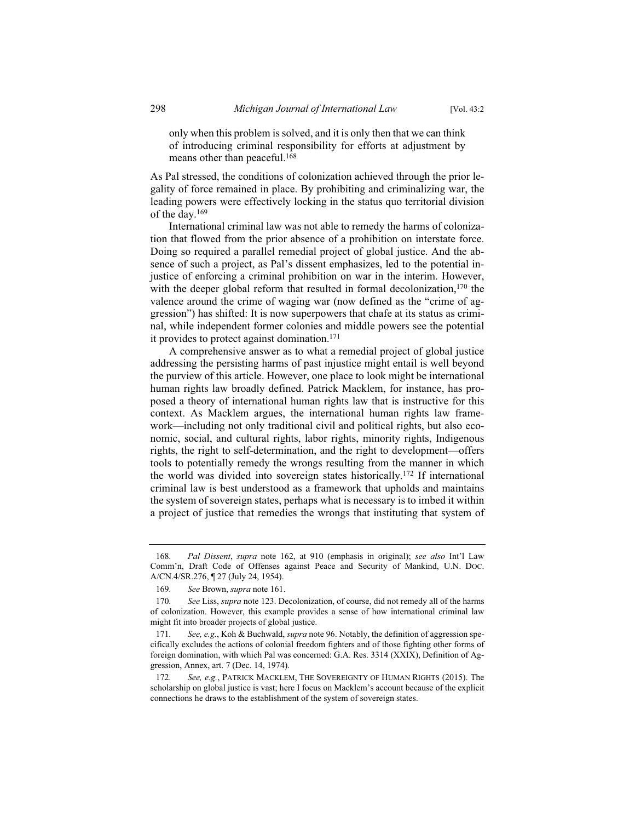only when this problem is solved, and it is only then that we can think of introducing criminal responsibility for efforts at adjustment by means other than peaceful.<sup>168</sup>

As Pal stressed, the conditions of colonization achieved through the prior legality of force remained in place. By prohibiting and criminalizing war, the leading powers were effectively locking in the status quo territorial division of the day. $169$ 

International criminal law was not able to remedy the harms of colonization that flowed from the prior absence of a prohibition on interstate force. Doing so required a parallel remedial project of global justice. And the absence of such a project, as Pal's dissent emphasizes, led to the potential injustice of enforcing a criminal prohibition on war in the interim. However, with the deeper global reform that resulted in formal decolonization,  $170$  the valence around the crime of waging war (now defined as the "crime of aggression") has shifted: It is now superpowers that chafe at its status as criminal, while independent former colonies and middle powers see the potential it provides to protect against domination.<sup>171</sup>

A comprehensive answer as to what a remedial project of global justice addressing the persisting harms of past injustice might entail is well beyond the purview of this article. However, one place to look might be international human rights law broadly defined. Patrick Macklem, for instance, has proposed a theory of international human rights law that is instructive for this context. As Macklem argues, the international human rights law framework—including not only traditional civil and political rights, but also economic, social, and cultural rights, labor rights, minority rights, Indigenous rights, the right to self-determination, and the right to development—offers tools to potentially remedy the wrongs resulting from the manner in which the world was divided into sovereign states historically.<sup>172</sup> If international criminal law is best understood as a framework that upholds and maintains the system of sovereign states, perhaps what is necessary is to imbed it within a project of justice that remedies the wrongs that instituting that system of

298

<sup>168.</sup> Pal Dissent, supra note 162, at 910 (emphasis in original); see also Int'l Law Comm'n, Draft Code of Offenses against Peace and Security of Mankind, U.N. Doc. A/CN.4/SR.276, 127 (July 24, 1954).

<sup>169.</sup> See Brown, supra note 161.

<sup>170.</sup> See Liss, *supra* note 123. Decolonization, of course, did not remedy all of the harms of colonization. However, this example provides a sense of how international criminal law might fit into broader projects of global justice.

<sup>171</sup> See, e.g., Koh & Buchwald, *supra* note 96. Notably, the definition of aggression specifically excludes the actions of colonial freedom fighters and of those fighting other forms of foreign domination, with which Pal was concerned: G.A. Res. 3314 (XXIX), Definition of Aggression, Annex, art. 7 (Dec. 14, 1974).

<sup>172</sup> See, e.g., PATRICK MACKLEM, THE SOVEREIGNTY OF HUMAN RIGHTS (2015). The scholarship on global justice is vast; here I focus on Macklem's account because of the explicit connections he draws to the establishment of the system of sovereign states.